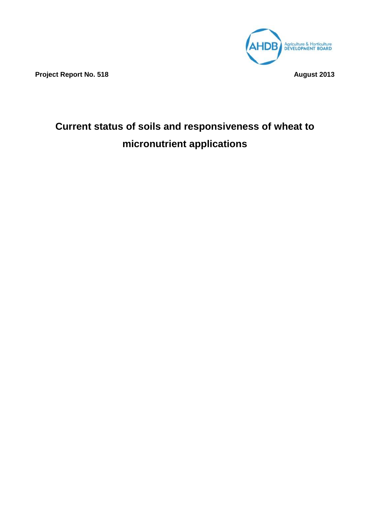

**Project Report No. 518 August 2013** 

# **Current status of soils and responsiveness of wheat to micronutrient applications**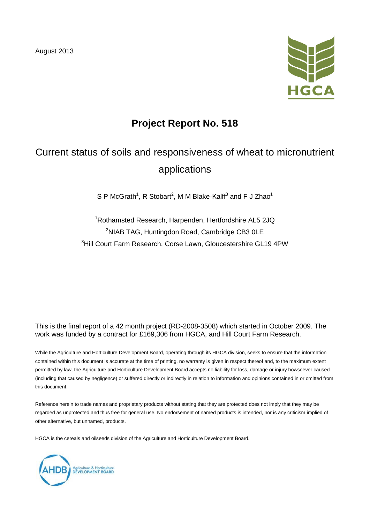August 2013



# **Project Report No. 518**

# Current status of soils and responsiveness of wheat to micronutrient applications

S P McGrath<sup>1</sup>, R Stobart<sup>2</sup>, M M Blake-Kalff<sup>3</sup> and F J Zhao<sup>1</sup>

1 Rothamsted Research, Harpenden, Hertfordshire AL5 2JQ <sup>2</sup>NIAB TAG, Huntingdon Road, Cambridge CB3 0LE 3 Hill Court Farm Research, Corse Lawn, Gloucestershire GL19 4PW

This is the final report of a 42 month project (RD-2008-3508) which started in October 2009. The work was funded by a contract for £169,306 from HGCA, and Hill Court Farm Research.

While the Agriculture and Horticulture Development Board, operating through its HGCA division, seeks to ensure that the information contained within this document is accurate at the time of printing, no warranty is given in respect thereof and, to the maximum extent permitted by law, the Agriculture and Horticulture Development Board accepts no liability for loss, damage or injury howsoever caused (including that caused by negligence) or suffered directly or indirectly in relation to information and opinions contained in or omitted from this document.

Reference herein to trade names and proprietary products without stating that they are protected does not imply that they may be regarded as unprotected and thus free for general use. No endorsement of named products is intended, nor is any criticism implied of other alternative, but unnamed, products.

HGCA is the cereals and oilseeds division of the Agriculture and Horticulture Development Board.

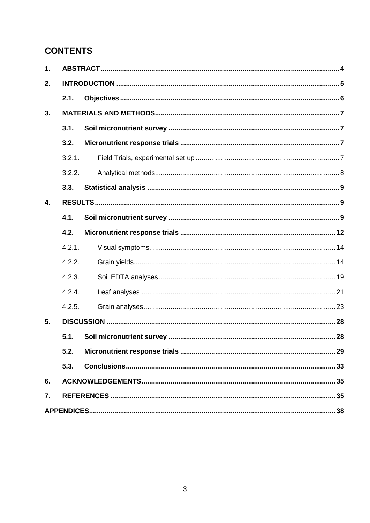# **CONTENTS**

| 1. |        |  |  |  |  |  |
|----|--------|--|--|--|--|--|
| 2. |        |  |  |  |  |  |
|    | 2.1.   |  |  |  |  |  |
| 3. |        |  |  |  |  |  |
|    | 3.1.   |  |  |  |  |  |
|    | 3.2.   |  |  |  |  |  |
|    | 3.2.1. |  |  |  |  |  |
|    | 3.2.2. |  |  |  |  |  |
|    | 3.3.   |  |  |  |  |  |
| 4. |        |  |  |  |  |  |
|    | 4.1.   |  |  |  |  |  |
|    | 4.2.   |  |  |  |  |  |
|    | 4.2.1. |  |  |  |  |  |
|    | 4.2.2. |  |  |  |  |  |
|    | 4.2.3. |  |  |  |  |  |
|    | 4.2.4. |  |  |  |  |  |
|    | 4.2.5. |  |  |  |  |  |
| 5. |        |  |  |  |  |  |
|    | 5.1.   |  |  |  |  |  |
|    | 5.2.   |  |  |  |  |  |
|    | 5.3.   |  |  |  |  |  |
| 6. |        |  |  |  |  |  |
| 7. |        |  |  |  |  |  |
|    |        |  |  |  |  |  |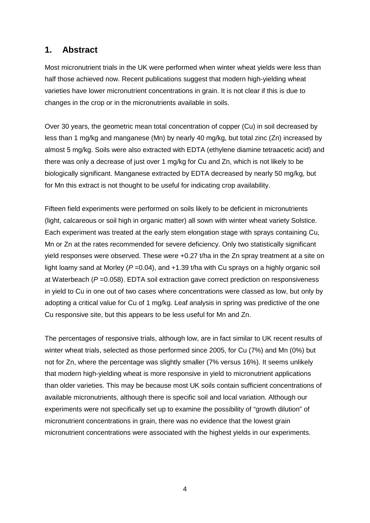# **1. Abstract**

Most micronutrient trials in the UK were performed when winter wheat yields were less than half those achieved now. Recent publications suggest that modern high-yielding wheat varieties have lower micronutrient concentrations in grain. It is not clear if this is due to changes in the crop or in the micronutrients available in soils.

Over 30 years, the geometric mean total concentration of copper (Cu) in soil decreased by less than 1 mg/kg and manganese (Mn) by nearly 40 mg/kg, but total zinc (Zn) increased by almost 5 mg/kg. Soils were also extracted with EDTA (ethylene diamine tetraacetic acid) and there was only a decrease of just over 1 mg/kg for Cu and Zn, which is not likely to be biologically significant. Manganese extracted by EDTA decreased by nearly 50 mg/kg, but for Mn this extract is not thought to be useful for indicating crop availability.

Fifteen field experiments were performed on soils likely to be deficient in micronutrients (light, calcareous or soil high in organic matter) all sown with winter wheat variety Solstice. Each experiment was treated at the early stem elongation stage with sprays containing Cu, Mn or Zn at the rates recommended for severe deficiency. Only two statistically significant yield responses were observed. These were +0.27 t/ha in the Zn spray treatment at a site on light loamy sand at Morley (*P* =0.04), and +1.39 t/ha with Cu sprays on a highly organic soil at Waterbeach (*P* =0.058). EDTA soil extraction gave correct prediction on responsiveness in yield to Cu in one out of two cases where concentrations were classed as low, but only by adopting a critical value for Cu of 1 mg/kg. Leaf analysis in spring was predictive of the one Cu responsive site, but this appears to be less useful for Mn and Zn.

The percentages of responsive trials, although low, are in fact similar to UK recent results of winter wheat trials, selected as those performed since 2005, for Cu (7%) and Mn (0%) but not for Zn, where the percentage was slightly smaller (7% versus 16%). It seems unlikely that modern high-yielding wheat is more responsive in yield to micronutrient applications than older varieties. This may be because most UK soils contain sufficient concentrations of available micronutrients, although there is specific soil and local variation. Although our experiments were not specifically set up to examine the possibility of "growth dilution" of micronutrient concentrations in grain, there was no evidence that the lowest grain micronutrient concentrations were associated with the highest yields in our experiments.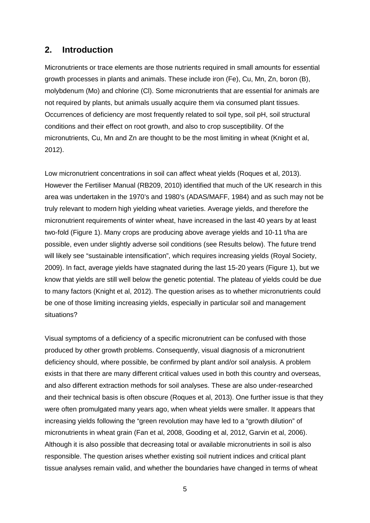# **2. Introduction**

Micronutrients or trace elements are those nutrients required in small amounts for essential growth processes in plants and animals. These include iron (Fe), Cu, Mn, Zn, boron (B), molybdenum (Mo) and chlorine (Cl). Some micronutrients that are essential for animals are not required by plants, but animals usually acquire them via consumed plant tissues. Occurrences of deficiency are most frequently related to soil type, soil pH, soil structural conditions and their effect on root growth, and also to crop susceptibility. Of the micronutrients, Cu, Mn and Zn are thought to be the most limiting in wheat (Knight et al, 2012).

Low micronutrient concentrations in soil can affect wheat yields (Roques et al, 2013). However the Fertiliser Manual (RB209, 2010) identified that much of the UK research in this area was undertaken in the 1970's and 1980's (ADAS/MAFF, 1984) and as such may not be truly relevant to modern high yielding wheat varieties. Average yields, and therefore the micronutrient requirements of winter wheat, have increased in the last 40 years by at least two-fold (Figure 1). Many crops are producing above average yields and 10-11 t/ha are possible, even under slightly adverse soil conditions (see Results below). The future trend will likely see "sustainable intensification", which requires increasing yields (Royal Society, 2009). In fact, average yields have stagnated during the last 15-20 years (Figure 1), but we know that yields are still well below the genetic potential. The plateau of yields could be due to many factors (Knight et al, 2012). The question arises as to whether micronutrients could be one of those limiting increasing yields, especially in particular soil and management situations?

Visual symptoms of a deficiency of a specific micronutrient can be confused with those produced by other growth problems. Consequently, visual diagnosis of a micronutrient deficiency should, where possible, be confirmed by plant and/or soil analysis. A problem exists in that there are many different critical values used in both this country and overseas, and also different extraction methods for soil analyses. These are also under-researched and their technical basis is often obscure (Roques et al, 2013). One further issue is that they were often promulgated many years ago, when wheat yields were smaller. It appears that increasing yields following the "green revolution may have led to a "growth dilution" of micronutrients in wheat grain (Fan et al, 2008, Gooding et al, 2012, Garvin et al, 2006). Although it is also possible that decreasing total or available micronutrients in soil is also responsible. The question arises whether existing soil nutrient indices and critical plant tissue analyses remain valid, and whether the boundaries have changed in terms of wheat

5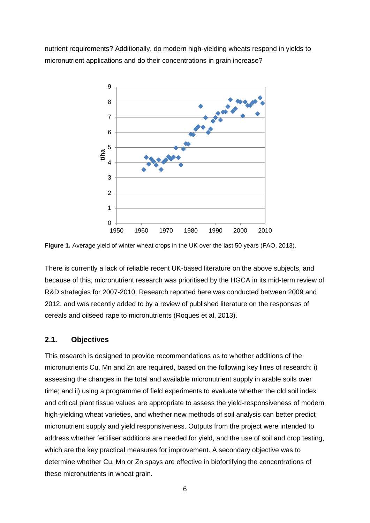nutrient requirements? Additionally, do modern high-yielding wheats respond in yields to micronutrient applications and do their concentrations in grain increase?



Figure 1. Average yield of winter wheat crops in the UK over the last 50 years (FAO, 2013).

There is currently a lack of reliable recent UK-based literature on the above subjects, and because of this, micronutrient research was prioritised by the HGCA in its mid-term review of R&D strategies for 2007-2010. Research reported here was conducted between 2009 and 2012, and was recently added to by a review of published literature on the responses of cereals and oilseed rape to micronutrients (Roques et al, 2013).

#### **2.1. Objectives**

This research is designed to provide recommendations as to whether additions of the micronutrients Cu, Mn and Zn are required, based on the following key lines of research: i) assessing the changes in the total and available micronutrient supply in arable soils over time; and ii) using a programme of field experiments to evaluate whether the old soil index and critical plant tissue values are appropriate to assess the yield-responsiveness of modern high-yielding wheat varieties, and whether new methods of soil analysis can better predict micronutrient supply and yield responsiveness. Outputs from the project were intended to address whether fertiliser additions are needed for yield, and the use of soil and crop testing, which are the key practical measures for improvement. A secondary objective was to determine whether Cu, Mn or Zn spays are effective in biofortifying the concentrations of these micronutrients in wheat grain.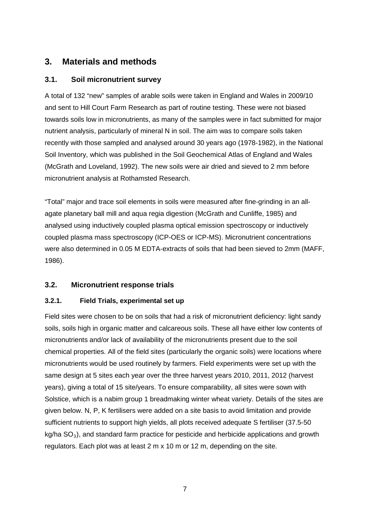# **3. Materials and methods**

## **3.1. Soil micronutrient survey**

A total of 132 "new" samples of arable soils were taken in England and Wales in 2009/10 and sent to Hill Court Farm Research as part of routine testing. These were not biased towards soils low in micronutrients, as many of the samples were in fact submitted for major nutrient analysis, particularly of mineral N in soil. The aim was to compare soils taken recently with those sampled and analysed around 30 years ago (1978-1982), in the National Soil Inventory, which was published in the Soil Geochemical Atlas of England and Wales (McGrath and Loveland, 1992). The new soils were air dried and sieved to 2 mm before micronutrient analysis at Rothamsted Research.

"Total" major and trace soil elements in soils were measured after fine-grinding in an allagate planetary ball mill and aqua regia digestion (McGrath and Cunliffe, 1985) and analysed using inductively coupled plasma optical emission spectroscopy or inductively coupled plasma mass spectroscopy (ICP-OES or ICP-MS). Micronutrient concentrations were also determined in 0.05 M EDTA-extracts of soils that had been sieved to 2mm (MAFF, 1986).

## **3.2. Micronutrient response trials**

## **3.2.1. Field Trials, experimental set up**

Field sites were chosen to be on soils that had a risk of micronutrient deficiency: light sandy soils, soils high in organic matter and calcareous soils. These all have either low contents of micronutrients and/or lack of availability of the micronutrients present due to the soil chemical properties. All of the field sites (particularly the organic soils) were locations where micronutrients would be used routinely by farmers. Field experiments were set up with the same design at 5 sites each year over the three harvest years 2010, 2011, 2012 (harvest years), giving a total of 15 site/years. To ensure comparability, all sites were sown with Solstice, which is a nabim group 1 breadmaking winter wheat variety. Details of the sites are given below. N, P, K fertilisers were added on a site basis to avoid limitation and provide sufficient nutrients to support high yields, all plots received adequate S fertiliser (37.5-50  $kg/ha SO<sub>3</sub>$ , and standard farm practice for pesticide and herbicide applications and growth regulators. Each plot was at least 2 m x 10 m or 12 m, depending on the site.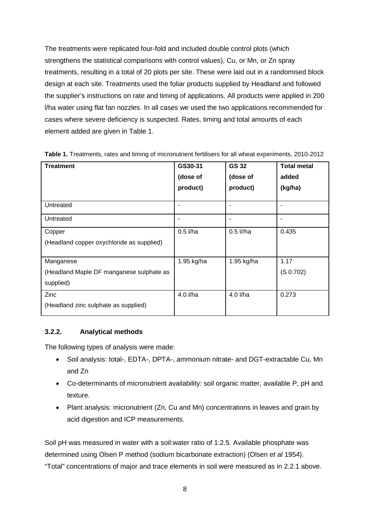The treatments were replicated four-fold and included double control plots (which strengthens the statistical comparisons with control values), Cu, or Mn, or Zn spray treatments, resulting in a total of 20 plots per site. These were laid out in a randomised block design at each site. Treatments used the foliar products supplied by Headland and followed the supplier's instructions on rate and timing of applications. All products were applied in 200 l/ha water using flat fan nozzles. In all cases we used the two applications recommended for cases where severe deficiency is suspected. Rates, timing and total amounts of each element added are given in Table 1.

| <b>Treatment</b>                                                   | GS30-31<br>(dose of<br>product) | <b>GS 32</b><br>(dose of<br>product) | <b>Total metal</b><br>added<br>(kg/ha) |
|--------------------------------------------------------------------|---------------------------------|--------------------------------------|----------------------------------------|
| Untreated                                                          |                                 |                                      | ۰                                      |
| Untreated                                                          |                                 |                                      | ۰                                      |
| Copper<br>(Headland copper oxychloride as supplied)                | $0.5$ I/ha                      | $0.5$ I//ha                          | 0.435                                  |
| Manganese<br>(Headland Maple DF manganese sulphate as<br>supplied) | 1.95 kg/ha                      | 1.95 kg/ha                           | 1.17<br>(S 0.702)                      |
| Zinc<br>(Headland zinc sulphate as supplied)                       | 4.0 l/ha                        | 4.0 l/ha                             | 0.273                                  |

**Table 1.** Treatments, rates and timing of micronutrient fertilisers for all wheat experiments, 2010-2012

#### **3.2.2. Analytical methods**

The following types of analysis were made:

- Soil analysis: total-, EDTA-, DPTA-, ammonium nitrate- and DGT-extractable Cu, Mn and Zn
- Co-determinants of micronutrient availability: soil organic matter, available P, pH and texture.
- Plant analysis: micronutrient (Zn, Cu and Mn) concentrations in leaves and grain by acid digestion and ICP measurements.

Soil pH was measured in water with a soil:water ratio of 1:2.5. Available phosphate was determined using Olsen P method (sodium bicarbonate extraction) (Olsen *et al* 1954). "Total" concentrations of major and trace elements in soil were measured as in 2.2.1 above.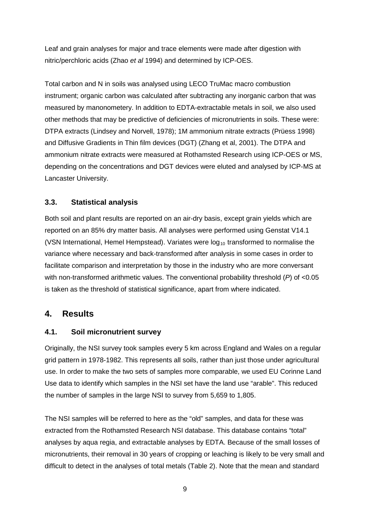Leaf and grain analyses for major and trace elements were made after digestion with nitric/perchloric acids (Zhao *et al* 1994) and determined by ICP-OES.

Total carbon and N in soils was analysed using LECO TruMac macro combustion instrument; organic carbon was calculated after subtracting any inorganic carbon that was measured by manonometery. In addition to EDTA-extractable metals in soil, we also used other methods that may be predictive of deficiencies of micronutrients in soils. These were: DTPA extracts (Lindsey and Norvell, 1978); 1M ammonium nitrate extracts (Prüess 1998) and Diffusive Gradients in Thin film devices (DGT) (Zhang et al, 2001). The DTPA and ammonium nitrate extracts were measured at Rothamsted Research using ICP-OES or MS, depending on the concentrations and DGT devices were eluted and analysed by ICP-MS at Lancaster University.

#### **3.3. Statistical analysis**

Both soil and plant results are reported on an air-dry basis, except grain yields which are reported on an 85% dry matter basis. All analyses were performed using Genstat V14.1 (VSN International, Hemel Hempstead). Variates were  $log_{10}$  transformed to normalise the variance where necessary and back-transformed after analysis in some cases in order to facilitate comparison and interpretation by those in the industry who are more conversant with non-transformed arithmetic values. The conventional probability threshold (*P*) of <0.05 is taken as the threshold of statistical significance, apart from where indicated.

## **4. Results**

#### **4.1. Soil micronutrient survey**

Originally, the NSI survey took samples every 5 km across England and Wales on a regular grid pattern in 1978-1982. This represents all soils, rather than just those under agricultural use. In order to make the two sets of samples more comparable, we used EU Corinne Land Use data to identify which samples in the NSI set have the land use "arable". This reduced the number of samples in the large NSI to survey from 5,659 to 1,805.

The NSI samples will be referred to here as the "old" samples, and data for these was extracted from the Rothamsted Research NSI database. This database contains "total" analyses by aqua regia, and extractable analyses by EDTA. Because of the small losses of micronutrients, their removal in 30 years of cropping or leaching is likely to be very small and difficult to detect in the analyses of total metals (Table 2). Note that the mean and standard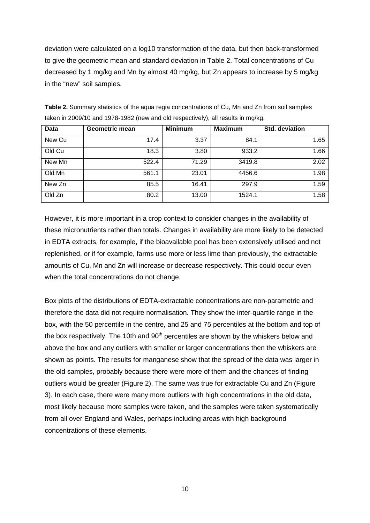deviation were calculated on a log10 transformation of the data, but then back-transformed to give the geometric mean and standard deviation in Table 2. Total concentrations of Cu decreased by 1 mg/kg and Mn by almost 40 mg/kg, but Zn appears to increase by 5 mg/kg in the "new" soil samples.

| Data   | Geometric mean | <b>Minimum</b> | <b>Maximum</b> | Std. deviation |
|--------|----------------|----------------|----------------|----------------|
| New Cu | 17.4           | 3.37           | 84.1           | 1.65           |
| Old Cu | 18.3           | 3.80           | 933.2          | 1.66           |
| New Mn | 522.4          | 71.29          | 3419.8         | 2.02           |
| Old Mn | 561.1          | 23.01          | 4456.6         | 1.98           |
| New Zn | 85.5           | 16.41          | 297.9          | 1.59           |
| Old Zn | 80.2           | 13.00          | 1524.1         | 1.58           |

**Table 2.** Summary statistics of the aqua regia concentrations of Cu, Mn and Zn from soil samples taken in 2009/10 and 1978-1982 (new and old respectively), all results in mg/kg.

However, it is more important in a crop context to consider changes in the availability of these micronutrients rather than totals. Changes in availability are more likely to be detected in EDTA extracts, for example, if the bioavailable pool has been extensively utilised and not replenished, or if for example, farms use more or less lime than previously, the extractable amounts of Cu, Mn and Zn will increase or decrease respectively. This could occur even when the total concentrations do not change.

Box plots of the distributions of EDTA-extractable concentrations are non-parametric and therefore the data did not require normalisation. They show the inter-quartile range in the box, with the 50 percentile in the centre, and 25 and 75 percentiles at the bottom and top of the box respectively. The 10th and  $90<sup>th</sup>$  percentiles are shown by the whiskers below and above the box and any outliers with smaller or larger concentrations then the whiskers are shown as points. The results for manganese show that the spread of the data was larger in the old samples, probably because there were more of them and the chances of finding outliers would be greater (Figure 2). The same was true for extractable Cu and Zn (Figure 3). In each case, there were many more outliers with high concentrations in the old data, most likely because more samples were taken, and the samples were taken systematically from all over England and Wales, perhaps including areas with high background concentrations of these elements.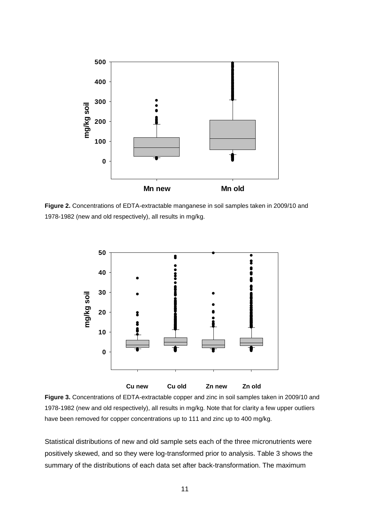

**Figure 2.** Concentrations of EDTA-extractable manganese in soil samples taken in 2009/10 and 1978-1982 (new and old respectively), all results in mg/kg.



**Figure 3.** Concentrations of EDTA-extractable copper and zinc in soil samples taken in 2009/10 and 1978-1982 (new and old respectively), all results in mg/kg. Note that for clarity a few upper outliers have been removed for copper concentrations up to 111 and zinc up to 400 mg/kg.

Statistical distributions of new and old sample sets each of the three micronutrients were positively skewed, and so they were log-transformed prior to analysis. Table 3 shows the summary of the distributions of each data set after back-transformation. The maximum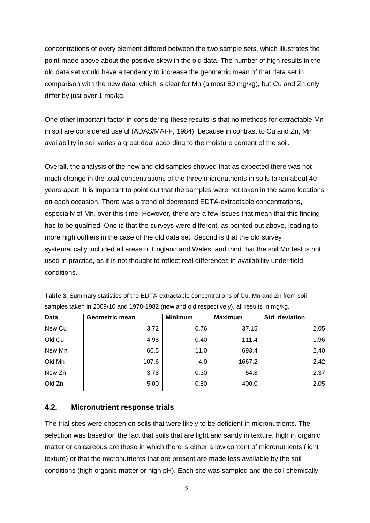concentrations of every element differed between the two sample sets, which illustrates the point made above about the positive skew in the old data. The number of high results in the old data set would have a tendency to increase the geometric mean of that data set in comparison with the new data, which is clear for Mn (almost 50 mg/kg), but Cu and Zn only differ by just over 1 mg/kg.

One other important factor in considering these results is that no methods for extractable Mn in soil are considered useful (ADAS/MAFF, 1984), because in contrast to Cu and Zn, Mn availability in soil varies a great deal according to the moisture content of the soil.

Overall, the analysis of the new and old samples showed that as expected there was not much change in the total concentrations of the three micronutrients in soils taken about 40 years apart. It is important to point out that the samples were not taken in the same locations on each occasion. There was a trend of decreased EDTA-extractable concentrations, especially of Mn, over this time. However, there are a few issues that mean that this finding has to be qualified. One is that the surveys were different, as pointed out above, leading to more high outliers in the case of the old data set. Second is that the old survey systematically included all areas of England and Wales; and third that the soil Mn test is not used in practice, as it is not thought to reflect real differences in availability under field conditions.

| Data   | <b>Geometric mean</b> | <b>Minimum</b> | <b>Maximum</b> | Std. deviation |
|--------|-----------------------|----------------|----------------|----------------|
| New Cu | 3.72                  | 0.76           | 37.15          | 2.05           |
| Old Cu | 4.98                  | 0.40           | 111.4          | 1.96           |
| New Mn | 60.5                  | 11.0           | 693.4          | 2.40           |
| Old Mn | 107.6                 | 4.0            | 1667.2         | 2.42           |
| New Zn | 3.78                  | 0.30           | 54.8           | 2.37           |
| Old Zn | 5.00                  | 0.50           | 400.0          | 2.05           |

**Table 3.** Summary statistics of the EDTA-extractable concentrations of Cu, Mn and Zn from soil samples taken in 2009/10 and 1978-1982 (new and old respectively), all results in mg/kg.

#### **4.2. Micronutrient response trials**

The trial sites were chosen on soils that were likely to be deficient in micronutrients. The selection was based on the fact that soils that are light and sandy in texture, high in organic matter or calcareous are those in which there is either a low content of micronutrients (light texture) or that the micronutrients that are present are made less available by the soil conditions (high organic matter or high pH). Each site was sampled and the soil chemically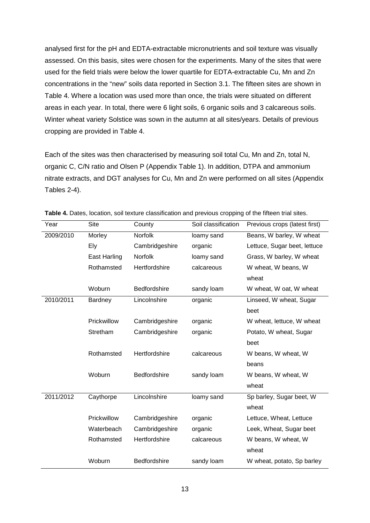analysed first for the pH and EDTA-extractable micronutrients and soil texture was visually assessed. On this basis, sites were chosen for the experiments. Many of the sites that were used for the field trials were below the lower quartile for EDTA-extractable Cu, Mn and Zn concentrations in the "new" soils data reported in Section 3.1. The fifteen sites are shown in Table 4. Where a location was used more than once, the trials were situated on different areas in each year. In total, there were 6 light soils, 6 organic soils and 3 calcareous soils. Winter wheat variety Solstice was sown in the autumn at all sites/years. Details of previous cropping are provided in Table 4.

Each of the sites was then characterised by measuring soil total Cu, Mn and Zn, total N, organic C, C/N ratio and Olsen P (Appendix Table 1). In addition, DTPA and ammonium nitrate extracts, and DGT analyses for Cu, Mn and Zn were performed on all sites (Appendix Tables 2-4).

| Year      | <b>Site</b>         | County         | Soil classification | Previous crops (latest first) |
|-----------|---------------------|----------------|---------------------|-------------------------------|
| 2009/2010 | Morley              | Norfolk        | loamy sand          | Beans, W barley, W wheat      |
|           | <b>Ely</b>          | Cambridgeshire | organic             | Lettuce, Sugar beet, lettuce  |
|           | <b>East Harling</b> | <b>Norfolk</b> | loamy sand          | Grass, W barley, W wheat      |
|           | Rothamsted          | Hertfordshire  | calcareous          | W wheat, W beans, W           |
|           |                     |                |                     | wheat                         |
|           | Woburn              | Bedfordshire   | sandy loam          | W wheat, W oat, W wheat       |
| 2010/2011 | Bardney             | Lincolnshire   | organic             | Linseed, W wheat, Sugar       |
|           |                     |                |                     | beet                          |
|           | Prickwillow         | Cambridgeshire | organic             | W wheat, lettuce, W wheat     |
|           | Stretham            | Cambridgeshire | organic             | Potato, W wheat, Sugar        |
|           |                     |                |                     | beet                          |
|           | Rothamsted          | Hertfordshire  | calcareous          | W beans, W wheat, W           |
|           |                     |                |                     | beans                         |
|           | Woburn              | Bedfordshire   | sandy loam          | W beans, W wheat, W           |
|           |                     |                |                     | wheat                         |
| 2011/2012 | Caythorpe           | Lincolnshire   | loamy sand          | Sp barley, Sugar beet, W      |
|           |                     |                |                     | wheat                         |
|           | Prickwillow         | Cambridgeshire | organic             | Lettuce, Wheat, Lettuce       |
|           | Waterbeach          | Cambridgeshire | organic             | Leek, Wheat, Sugar beet       |
|           | Rothamsted          | Hertfordshire  | calcareous          | W beans, W wheat, W           |
|           |                     |                |                     | wheat                         |
|           | Woburn              | Bedfordshire   | sandy loam          | W wheat, potato, Sp barley    |

**Table 4.** Dates, location, soil texture classification and previous cropping of the fifteen trial sites.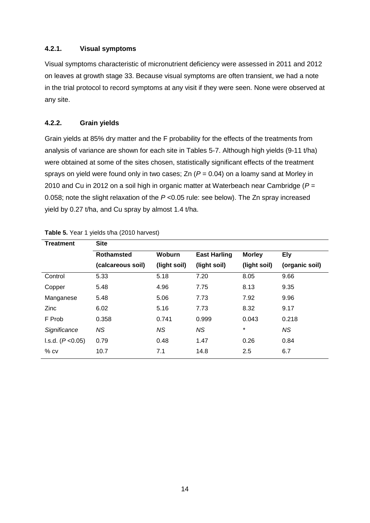#### **4.2.1. Visual symptoms**

Visual symptoms characteristic of micronutrient deficiency were assessed in 2011 and 2012 on leaves at growth stage 33. Because visual symptoms are often transient, we had a note in the trial protocol to record symptoms at any visit if they were seen. None were observed at any site.

#### **4.2.2. Grain yields**

Grain yields at 85% dry matter and the F probability for the effects of the treatments from analysis of variance are shown for each site in Tables 5-7. Although high yields (9-11 t/ha) were obtained at some of the sites chosen, statistically significant effects of the treatment sprays on yield were found only in two cases; Zn (*P* = 0.04) on a loamy sand at Morley in 2010 and Cu in 2012 on a soil high in organic matter at Waterbeach near Cambridge (*P* = 0.058; note the slight relaxation of the *P* <0.05 rule: see below). The Zn spray increased yield by 0.27 t/ha, and Cu spray by almost 1.4 t/ha.

| <b>Treatment</b>  | <b>Site</b>       |               |                     |               |                |
|-------------------|-------------------|---------------|---------------------|---------------|----------------|
|                   | <b>Rothamsted</b> | <b>Woburn</b> | <b>East Harling</b> | <b>Morley</b> | Ely            |
|                   | (calcareous soil) | (light soil)  | (light soil)        | (light soil)  | (organic soil) |
| Control           | 5.33              | 5.18          | 7.20                | 8.05          | 9.66           |
| Copper            | 5.48              | 4.96          | 7.75                | 8.13          | 9.35           |
| Manganese         | 5.48              | 5.06          | 7.73                | 7.92          | 9.96           |
| Zinc              | 6.02              | 5.16          | 7.73                | 8.32          | 9.17           |
| F Prob            | 0.358             | 0.741         | 0.999               | 0.043         | 0.218          |
| Significance      | NS.               | NS.           | NS.                 | $\star$       | NS.            |
| I.s.d. (P < 0.05) | 0.79              | 0.48          | 1.47                | 0.26          | 0.84           |
| $%$ CV            | 10.7              | 7.1           | 14.8                | 2.5           | 6.7            |

| Table 5. Year 1 yields t/ha (2010 harvest) |  |  |
|--------------------------------------------|--|--|
|--------------------------------------------|--|--|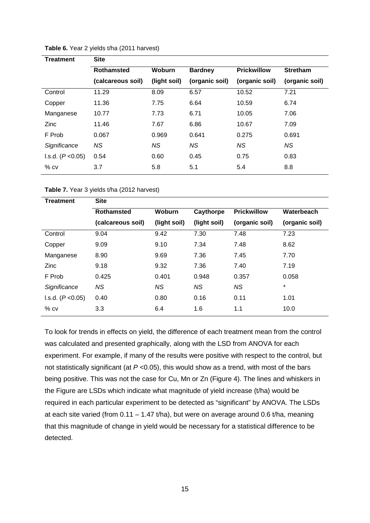| Treatment           | <b>Site</b>       |              |                |                    |                 |
|---------------------|-------------------|--------------|----------------|--------------------|-----------------|
|                     | <b>Rothamsted</b> | Woburn       | <b>Bardney</b> | <b>Prickwillow</b> | <b>Stretham</b> |
|                     | (calcareous soil) | (light soil) | (organic soil) | (organic soil)     | (organic soil)  |
| Control             | 11.29             | 8.09         | 6.57           | 10.52              | 7.21            |
| Copper              | 11.36             | 7.75         | 6.64           | 10.59              | 6.74            |
| Manganese           | 10.77             | 7.73         | 6.71           | 10.05              | 7.06            |
| Zinc                | 11.46             | 7.67         | 6.86           | 10.67              | 7.09            |
| F Prob              | 0.067             | 0.969        | 0.641          | 0.275              | 0.691           |
| Significance        | NS.               | NS.          | <b>NS</b>      | ΝS                 | NS.             |
| I.s.d. $(P < 0.05)$ | 0.54              | 0.60         | 0.45           | 0.75               | 0.83            |
| $%$ $cv$            | 3.7               | 5.8          | 5.1            | 5.4                | 8.8             |

**Table 6.** Year 2 yields t/ha (2011 harvest)

**Table 7.** Year 3 yields t/ha (2012 harvest)

| Treatment         | Site              |               |              |                    |                |  |  |  |
|-------------------|-------------------|---------------|--------------|--------------------|----------------|--|--|--|
|                   | <b>Rothamsted</b> | <b>Woburn</b> | Caythorpe    | <b>Prickwillow</b> | Waterbeach     |  |  |  |
|                   | (calcareous soil) | (light soil)  | (light soil) | (organic soil)     | (organic soil) |  |  |  |
| Control           | 9.04              | 9.42          | 7.30         | 7.48               | 7.23           |  |  |  |
| Copper            | 9.09              | 9.10          | 7.34         | 7.48               | 8.62           |  |  |  |
| Manganese         | 8.90              | 9.69          | 7.36         | 7.45               | 7.70           |  |  |  |
| <b>Zinc</b>       | 9.18              | 9.32          | 7.36         | 7.40               | 7.19           |  |  |  |
| F Prob            | 0.425             | 0.401         | 0.948        | 0.357              | 0.058          |  |  |  |
| Significance      | <b>NS</b>         | NS.           | ΝS           | ΝS                 | $^{\star}$     |  |  |  |
| l.s.d. (P < 0.05) | 0.40              | 0.80          | 0.16         | 0.11               | 1.01           |  |  |  |
| $%$ CV            | 3.3               | 6.4           | 1.6          | 1.1                | 10.0           |  |  |  |
|                   |                   |               |              |                    |                |  |  |  |

To look for trends in effects on yield, the difference of each treatment mean from the control was calculated and presented graphically, along with the LSD from ANOVA for each experiment. For example, if many of the results were positive with respect to the control, but not statistically significant (at *P* <0.05), this would show as a trend, with most of the bars being positive. This was not the case for Cu, Mn or Zn (Figure 4). The lines and whiskers in the Figure are LSDs which indicate what magnitude of yield increase (t/ha) would be required in each particular experiment to be detected as "significant" by ANOVA. The LSDs at each site varied (from  $0.11 - 1.47$  t/ha), but were on average around  $0.6$  t/ha, meaning that this magnitude of change in yield would be necessary for a statistical difference to be detected.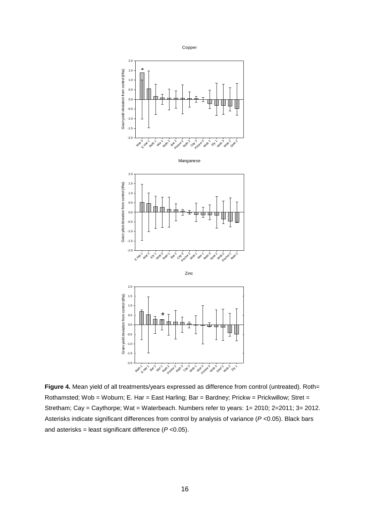

Figure 4. Mean yield of all treatments/years expressed as difference from control (untreated). Roth= Rothamsted; Wob = Woburn; E. Har = East Harling; Bar = Bardney; Prickw = Prickwillow; Stret = Stretham; Cay = Caythorpe; Wat = Waterbeach. Numbers refer to years: 1= 2010; 2=2011; 3= 2012. Asterisks indicate significant differences from control by analysis of variance (*P* <0.05). Black bars and asterisks = least significant difference (*P* <0.05).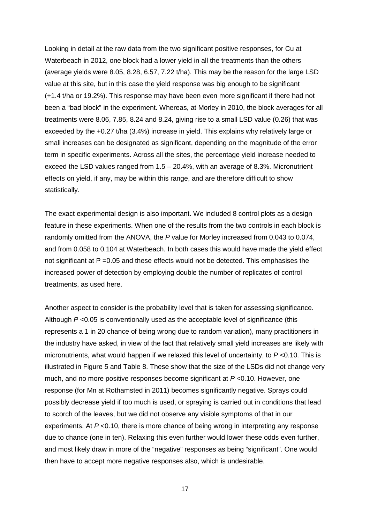Looking in detail at the raw data from the two significant positive responses, for Cu at Waterbeach in 2012, one block had a lower yield in all the treatments than the others (average yields were 8.05, 8.28, 6.57, 7.22 t/ha). This may be the reason for the large LSD value at this site, but in this case the yield response was big enough to be significant (+1.4 t/ha or 19.2%). This response may have been even more significant if there had not been a "bad block" in the experiment. Whereas, at Morley in 2010, the block averages for all treatments were 8.06, 7.85, 8.24 and 8.24, giving rise to a small LSD value (0.26) that was exceeded by the +0.27 t/ha (3.4%) increase in yield. This explains why relatively large or small increases can be designated as significant, depending on the magnitude of the error term in specific experiments. Across all the sites, the percentage yield increase needed to exceed the LSD values ranged from 1.5 – 20.4%, with an average of 8.3%. Micronutrient effects on yield, if any, may be within this range, and are therefore difficult to show statistically.

The exact experimental design is also important. We included 8 control plots as a design feature in these experiments. When one of the results from the two controls in each block is randomly omitted from the ANOVA, the *P* value for Morley increased from 0.043 to 0.074, and from 0.058 to 0.104 at Waterbeach. In both cases this would have made the yield effect not significant at P =0.05 and these effects would not be detected. This emphasises the increased power of detection by employing double the number of replicates of control treatments, as used here.

Another aspect to consider is the probability level that is taken for assessing significance. Although *P* <0.05 is conventionally used as the acceptable level of significance (this represents a 1 in 20 chance of being wrong due to random variation), many practitioners in the industry have asked, in view of the fact that relatively small yield increases are likely with micronutrients, what would happen if we relaxed this level of uncertainty, to *P* <0.10. This is illustrated in Figure 5 and Table 8. These show that the size of the LSDs did not change very much, and no more positive responses become significant at *P* <0.10. However, one response (for Mn at Rothamsted in 2011) becomes significantly negative. Sprays could possibly decrease yield if too much is used, or spraying is carried out in conditions that lead to scorch of the leaves, but we did not observe any visible symptoms of that in our experiments. At *P* <0.10, there is more chance of being wrong in interpreting any response due to chance (one in ten). Relaxing this even further would lower these odds even further, and most likely draw in more of the "negative" responses as being "significant". One would then have to accept more negative responses also, which is undesirable.

17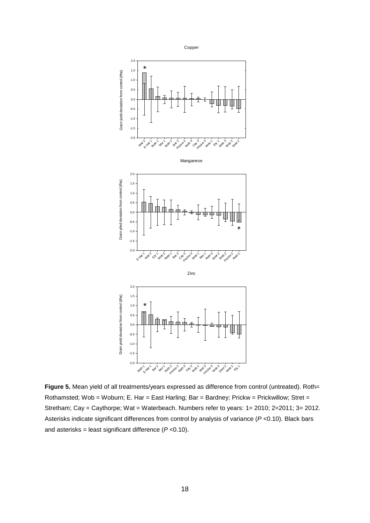

Figure 5. Mean yield of all treatments/years expressed as difference from control (untreated). Roth= Rothamsted; Wob = Woburn; E. Har = East Harling; Bar = Bardney; Prickw = Prickwillow; Stret = Stretham; Cay = Caythorpe; Wat = Waterbeach. Numbers refer to years: 1= 2010; 2=2011; 3= 2012. Asterisks indicate significant differences from control by analysis of variance (*P* <0.10). Black bars and asterisks = least significant difference (*P* <0.10).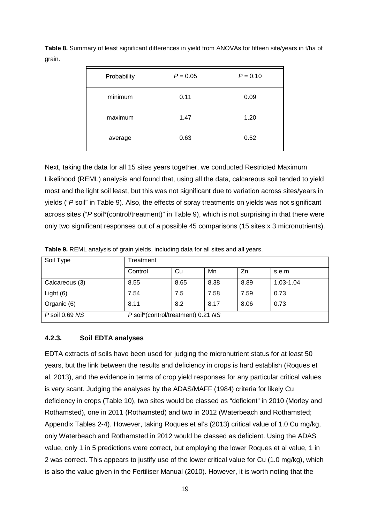| Probability | $P = 0.05$ | $P = 0.10$ |
|-------------|------------|------------|
| minimum     | 0.11       | 0.09       |
| maximum     | 1.47       | 1.20       |
| average     | 0.63       | 0.52       |

Table 8. Summary of least significant differences in yield from ANOVAs for fifteen site/years in t/ha of grain.

Next, taking the data for all 15 sites years together, we conducted Restricted Maximum Likelihood (REML) analysis and found that, using all the data, calcareous soil tended to yield most and the light soil least, but this was not significant due to variation across sites/years in yields ("*P* soil" in Table 9). Also, the effects of spray treatments on yields was not significant across sites ("P soil<sup>\*</sup>(control/treatment)" in Table 9), which is not surprising in that there were only two significant responses out of a possible 45 comparisons (15 sites x 3 micronutrients).

| Soil Type          | Treatment                          |      |      |      |           |
|--------------------|------------------------------------|------|------|------|-----------|
|                    | Control                            | Cu   | Mn   | Zn   | s.e.m     |
| Calcareous (3)     | 8.55                               | 8.65 | 8.38 | 8.89 | 1.03-1.04 |
| Light $(6)$        | 7.54                               | 7.5  | 7.58 | 7.59 | 0.73      |
| Organic (6)        | 8.11                               | 8.2  | 8.17 | 8.06 | 0.73      |
| $P$ soil 0.69 $NS$ | P soil*(control/treatment) 0.21 NS |      |      |      |           |

**Table 9.** REML analysis of grain yields, including data for all sites and all years.

#### **4.2.3. Soil EDTA analyses**

EDTA extracts of soils have been used for judging the micronutrient status for at least 50 years, but the link between the results and deficiency in crops is hard establish (Roques et al, 2013), and the evidence in terms of crop yield responses for any particular critical values is very scant. Judging the analyses by the ADAS/MAFF (1984) criteria for likely Cu deficiency in crops (Table 10), two sites would be classed as "deficient" in 2010 (Morley and Rothamsted), one in 2011 (Rothamsted) and two in 2012 (Waterbeach and Rothamsted; Appendix Tables 2-4). However, taking Roques et al's (2013) critical value of 1.0 Cu mg/kg, only Waterbeach and Rothamsted in 2012 would be classed as deficient. Using the ADAS value, only 1 in 5 predictions were correct, but employing the lower Roques et al value, 1 in 2 was correct. This appears to justify use of the lower critical value for Cu (1.0 mg/kg), which is also the value given in the Fertiliser Manual (2010). However, it is worth noting that the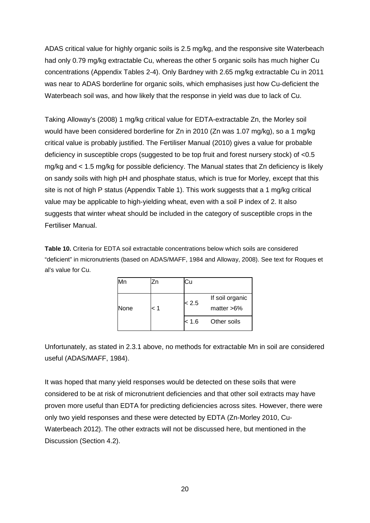ADAS critical value for highly organic soils is 2.5 mg/kg, and the responsive site Waterbeach had only 0.79 mg/kg extractable Cu, whereas the other 5 organic soils has much higher Cu concentrations (Appendix Tables 2-4). Only Bardney with 2.65 mg/kg extractable Cu in 2011 was near to ADAS borderline for organic soils, which emphasises just how Cu-deficient the Waterbeach soil was, and how likely that the response in yield was due to lack of Cu.

Taking Alloway's (2008) 1 mg/kg critical value for EDTA-extractable Zn, the Morley soil would have been considered borderline for Zn in 2010 (Zn was 1.07 mg/kg), so a 1 mg/kg critical value is probably justified. The Fertiliser Manual (2010) gives a value for probable deficiency in susceptible crops (suggested to be top fruit and forest nursery stock) of <0.5 mg/kg and < 1.5 mg/kg for possible deficiency. The Manual states that Zn deficiency is likely on sandy soils with high pH and phosphate status, which is true for Morley, except that this site is not of high P status (Appendix Table 1). This work suggests that a 1 mg/kg critical value may be applicable to high-yielding wheat, even with a soil P index of 2. It also suggests that winter wheat should be included in the category of susceptible crops in the Fertiliser Manual.

**Table 10.** Criteria for EDTA soil extractable concentrations below which soils are considered "deficient" in micronutrients (based on ADAS/MAFF, 1984 and Alloway, 2008). See text for Roques et al's value for Cu.

| Mn   |     | Cu    |                                  |
|------|-----|-------|----------------------------------|
| None | 1 > | < 2.5 | If soil organic<br>matter $>6\%$ |
|      |     | < 1.6 | Other soils                      |

Unfortunately, as stated in 2.3.1 above, no methods for extractable Mn in soil are considered useful (ADAS/MAFF, 1984).

It was hoped that many yield responses would be detected on these soils that were considered to be at risk of micronutrient deficiencies and that other soil extracts may have proven more useful than EDTA for predicting deficiencies across sites. However, there were only two yield responses and these were detected by EDTA (Zn-Morley 2010, Cu-Waterbeach 2012). The other extracts will not be discussed here, but mentioned in the Discussion (Section 4.2).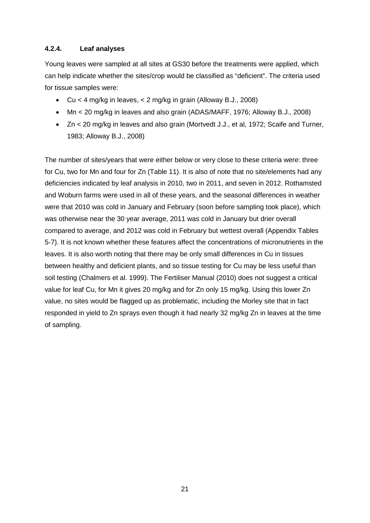#### **4.2.4. Leaf analyses**

Young leaves were sampled at all sites at GS30 before the treatments were applied, which can help indicate whether the sites/crop would be classified as "deficient". The criteria used for tissue samples were:

- Cu  $\lt$  4 mg/kg in leaves,  $\lt$  2 mg/kg in grain (Alloway B.J., 2008)
- Mn < 20 mg/kg in leaves and also grain (ADAS/MAFF, 1976; Alloway B.J., 2008)
- Zn < 20 mg/kg in leaves and also grain (Mortvedt J.J., et al, 1972; Scaife and Turner, 1983; Alloway B.J., 2008)

The number of sites/years that were either below or very close to these criteria were: three for Cu, two for Mn and four for Zn (Table 11). It is also of note that no site/elements had any deficiencies indicated by leaf analysis in 2010, two in 2011, and seven in 2012. Rothamsted and Woburn farms were used in all of these years, and the seasonal differences in weather were that 2010 was cold in January and February (soon before sampling took place), which was otherwise near the 30 year average, 2011 was cold in January but drier overall compared to average, and 2012 was cold in February but wettest overall (Appendix Tables 5-7). It is not known whether these features affect the concentrations of micronutrients in the leaves. It is also worth noting that there may be only small differences in Cu in tissues between healthy and deficient plants, and so tissue testing for Cu may be less useful than soil testing (Chalmers et al. 1999). The Fertiliser Manual (2010) does not suggest a critical value for leaf Cu, for Mn it gives 20 mg/kg and for Zn only 15 mg/kg. Using this lower Zn value, no sites would be flagged up as problematic, including the Morley site that in fact responded in yield to Zn sprays even though it had nearly 32 mg/kg Zn in leaves at the time of sampling.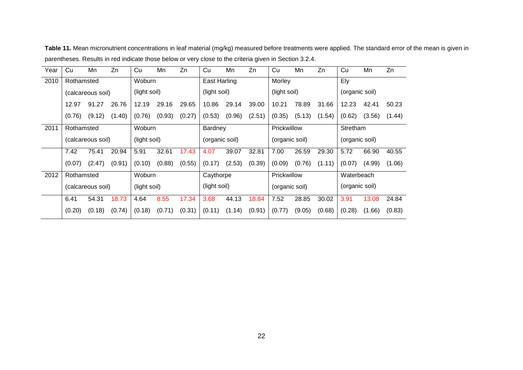| Year | Cu                | Mn                   | Zn     | Cu           | Mn     | Zn             | Cu             | Mn     | Zn          | Cu             | Mn     | Zn       | Cu             | Mn     | Zn     |
|------|-------------------|----------------------|--------|--------------|--------|----------------|----------------|--------|-------------|----------------|--------|----------|----------------|--------|--------|
| 2010 | Rothamsted        |                      |        | Woburn       |        |                | East Harling   |        |             | Morley         |        |          | Ely            |        |        |
|      |                   | (calcareous soil)    |        | (light soil) |        |                | (light soil)   |        |             | (light soil)   |        |          | (organic soil) |        |        |
|      | 12.97             | 91.27                | 26.76  | 12.19        | 29.16  | 29.65          | 10.86          | 29.14  | 39.00       | 10.21          | 78.89  | 31.66    | 12.23          | 42.41  | 50.23  |
|      | (0.76)            | (9.12)               | (1.40) | (0.76)       | (0.93) | (0.27)         | (0.53)         | (0.96) | (2.51)      | (0.35)         | (5.13) | (1.54)   | (0.62)         | (3.56) | (1.44) |
| 2011 |                   | Woburn<br>Rothamsted |        |              |        | <b>Bardney</b> |                |        | Prickwillow |                |        | Stretham |                |        |        |
|      | (calcareous soil) |                      |        | (light soil) |        |                | (organic soil) |        |             | (organic soil) |        |          | (organic soil) |        |        |
|      | 7.42              | 75.41                | 20.94  | 5.91         | 32.61  | 17.43          | 4.07           | 39.07  | 32.81       | 7.00           | 26.59  | 29.30    | 5.72           | 66.90  | 40.55  |
|      | (0.07)            | (2.47)               | (0.91) | (0.10)       | (0.88) | (0.55)         | (0.17)         | (2.53) | (0.39)      | (0.09)         | (0.76) | (1.11)   | (0.07)         | (4.99) | (1.06) |
| 2012 | Rothamsted        |                      |        | Woburn       |        |                | Caythorpe      |        |             | Prickwillow    |        |          | Waterbeach     |        |        |
|      | (calcareous soil) |                      |        | (light soil) |        |                | (light soil)   |        |             | (organic soil) |        |          | (organic soil) |        |        |
|      | 6.41              | 54.31                | 18.73  | 4.64         | 8.55   | 17.34          | 3.68           | 44.13  | 18.84       | 7.52           | 28.85  | 30.02    | 3.91           | 13.08  | 24.84  |
|      | (0.20)            | (0.18)               | (0.74) | (0.18)       | (0.71) | (0.31)         | (0.11)         | (1.14) | (0.91)      | (0.77)         | (9.05) | (0.68)   | (0.28)         | (1.66) | (0.83) |

**Table 11.** Mean micronutrient concentrations in leaf material (mg/kg) measured before treatments were applied. The standard error of the mean is given in parentheses. Results in red indicate those below or very close to the criteria given in Section 3.2.4.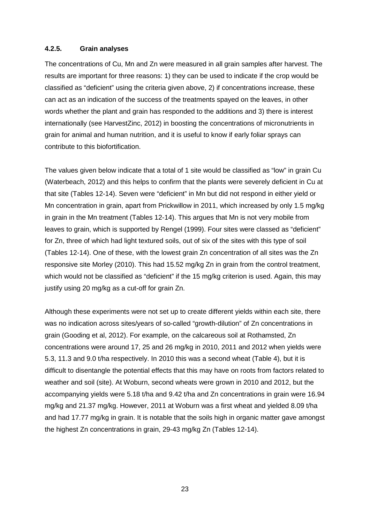#### **4.2.5. Grain analyses**

The concentrations of Cu, Mn and Zn were measured in all grain samples after harvest. The results are important for three reasons: 1) they can be used to indicate if the crop would be classified as "deficient" using the criteria given above, 2) if concentrations increase, these can act as an indication of the success of the treatments spayed on the leaves, in other words whether the plant and grain has responded to the additions and 3) there is interest internationally (see HarvestZinc, 2012) in boosting the concentrations of micronutrients in grain for animal and human nutrition, and it is useful to know if early foliar sprays can contribute to this biofortification.

The values given below indicate that a total of 1 site would be classified as "low" in grain Cu (Waterbeach, 2012) and this helps to confirm that the plants were severely deficient in Cu at that site (Tables 12-14). Seven were "deficient" in Mn but did not respond in either yield or Mn concentration in grain, apart from Prickwillow in 2011, which increased by only 1.5 mg/kg in grain in the Mn treatment (Tables 12-14). This argues that Mn is not very mobile from leaves to grain, which is supported by Rengel (1999). Four sites were classed as "deficient" for Zn, three of which had light textured soils, out of six of the sites with this type of soil (Tables 12-14). One of these, with the lowest grain Zn concentration of all sites was the Zn responsive site Morley (2010). This had 15.52 mg/kg Zn in grain from the control treatment, which would not be classified as "deficient" if the 15 mg/kg criterion is used. Again, this may justify using 20 mg/kg as a cut-off for grain Zn.

Although these experiments were not set up to create different yields within each site, there was no indication across sites/years of so-called "growth-dilution" of Zn concentrations in grain (Gooding et al, 2012). For example, on the calcareous soil at Rothamsted, Zn concentrations were around 17, 25 and 26 mg/kg in 2010, 2011 and 2012 when yields were 5.3, 11.3 and 9.0 t/ha respectively. In 2010 this was a second wheat (Table 4), but it is difficult to disentangle the potential effects that this may have on roots from factors related to weather and soil (site). At Woburn, second wheats were grown in 2010 and 2012, but the accompanying yields were 5.18 t/ha and 9.42 t/ha and Zn concentrations in grain were 16.94 mg/kg and 21.37 mg/kg. However, 2011 at Woburn was a first wheat and yielded 8.09 t/ha and had 17.77 mg/kg in grain. It is notable that the soils high in organic matter gave amongst the highest Zn concentrations in grain, 29-43 mg/kg Zn (Tables 12-14).

23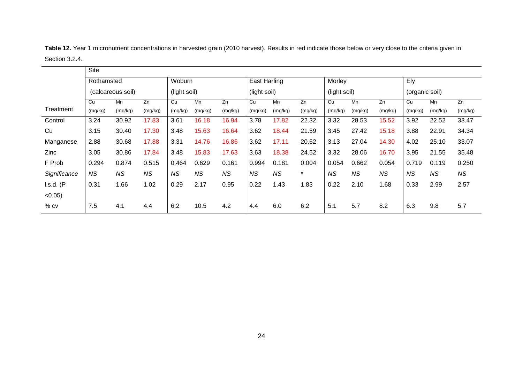|              | <b>Site</b> |                   |           |              |           |           |                     |           |         |              |           |           |                |           |         |
|--------------|-------------|-------------------|-----------|--------------|-----------|-----------|---------------------|-----------|---------|--------------|-----------|-----------|----------------|-----------|---------|
|              | Rothamsted  |                   |           | Woburn       |           |           | <b>East Harling</b> |           |         | Morley       |           |           | Ely            |           |         |
|              |             | (calcareous soil) |           | (light soil) |           |           | (light soil)        |           |         | (light soil) |           |           | (organic soil) |           |         |
|              | Cu          | Mn                | Zn        | Cu           | Mn        | Zn        | Cu                  | Mn        | Zn      | Cu           | Mn        | Zn        | Cu             | Mn        | Zn      |
| Treatment    | (mg/kg)     | (mg/kg)           | (mg/kg)   | (mg/kg)      | (mg/kg)   | (mg/kg)   | (mg/kg)             | (mg/kg)   | (mg/kg) | (mg/kg)      | (mg/kg)   | (mg/kg)   | (mg/kg)        | (mg/kg)   | (mg/kg) |
| Control      | 3.24        | 30.92             | 17.83     | 3.61         | 16.18     | 16.94     | 3.78                | 17.82     | 22.32   | 3.32         | 28.53     | 15.52     | 3.92           | 22.52     | 33.47   |
| Cu           | 3.15        | 30.40             | 17.30     | 3.48         | 15.63     | 16.64     | 3.62                | 18.44     | 21.59   | 3.45         | 27.42     | 15.18     | 3.88           | 22.91     | 34.34   |
| Manganese    | 2.88        | 30.68             | 17.88     | 3.31         | 14.76     | 16.86     | 3.62                | 17.11     | 20.62   | 3.13         | 27.04     | 14.30     | 4.02           | 25.10     | 33.07   |
| <b>Zinc</b>  | 3.05        | 30.86             | 17.84     | 3.48         | 15.83     | 17.63     | 3.63                | 18.38     | 24.52   | 3.32         | 28.06     | 16.70     | 3.95           | 21.55     | 35.48   |
| F Prob       | 0.294       | 0.874             | 0.515     | 0.464        | 0.629     | 0.161     | 0.994               | 0.181     | 0.004   | 0.054        | 0.662     | 0.054     | 0.719          | 0.119     | 0.250   |
| Significance | <b>NS</b>   | <b>NS</b>         | <b>NS</b> | <b>NS</b>    | <b>NS</b> | <b>NS</b> | <b>NS</b>           | <b>NS</b> | $\star$ | <b>NS</b>    | <b>NS</b> | <b>NS</b> | <b>NS</b>      | <b>NS</b> | NS.     |
| $I.s.d.$ (P  | 0.31        | 1.66              | 1.02      | 0.29         | 2.17      | 0.95      | 0.22                | 1.43      | 1.83    | 0.22         | 2.10      | 1.68      | 0.33           | 2.99      | 2.57    |
| $< 0.05$ )   |             |                   |           |              |           |           |                     |           |         |              |           |           |                |           |         |
| $%$ cv       | 7.5         | 4.1               | 4.4       | 6.2          | 10.5      | 4.2       | 4.4                 | 6.0       | 6.2     | 5.1          | 5.7       | 8.2       | 6.3            | 9.8       | 5.7     |

**Table 12.** Year 1 micronutrient concentrations in harvested grain (2010 harvest). Results in red indicate those below or very close to the criteria given in Section 3.2.4.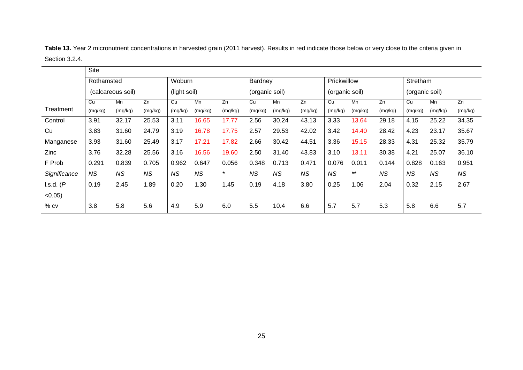|                | <b>Site</b> |                   |           |              |           |         |                |           |           |                |         |           |                |           |           |
|----------------|-------------|-------------------|-----------|--------------|-----------|---------|----------------|-----------|-----------|----------------|---------|-----------|----------------|-----------|-----------|
|                | Rothamsted  |                   |           | Woburn       |           |         | Bardney        |           |           | Prickwillow    |         |           | Stretham       |           |           |
|                |             | (calcareous soil) |           | (light soil) |           |         | (organic soil) |           |           | (organic soil) |         |           | (organic soil) |           |           |
|                | Cu          | Mn                | Zn        | Cu           | Mn        | Zn      | Cu             | Mn        | Zn        | Cu             | Mn      | Zn        | Cu             | Mn        | Zn        |
| Treatment      | (mg/kg)     | (mg/kg)           | (mg/kg)   | (mg/kg)      | (mg/kg)   | (mg/kg) | (mg/kg)        | (mg/kg)   | (mg/kg)   | (mg/kg)        | (mg/kg) | (mg/kg)   | (mg/kg)        | (mg/kg)   | (mg/kg)   |
| Control        | 3.91        | 32.17             | 25.53     | 3.11         | 16.65     | 17.77   | 2.56           | 30.24     | 43.13     | 3.33           | 13.64   | 29.18     | 4.15           | 25.22     | 34.35     |
| Cu             | 3.83        | 31.60             | 24.79     | 3.19         | 16.78     | 17.75   | 2.57           | 29.53     | 42.02     | 3.42           | 14.40   | 28.42     | 4.23           | 23.17     | 35.67     |
| Manganese      | 3.93        | 31.60             | 25.49     | 3.17         | 17.21     | 17.82   | 2.66           | 30.42     | 44.51     | 3.36           | 15.15   | 28.33     | 4.31           | 25.32     | 35.79     |
| Zinc           | 3.76        | 32.28             | 25.56     | 3.16         | 16.56     | 19.60   | 2.50           | 31.40     | 43.83     | 3.10           | 13.11   | 30.38     | 4.21           | 25.07     | 36.10     |
| F Prob         | 0.291       | 0.839             | 0.705     | 0.962        | 0.647     | 0.056   | 0.348          | 0.713     | 0.471     | 0.076          | 0.011   | 0.144     | 0.828          | 0.163     | 0.951     |
| Significance   | NS.         | <b>NS</b>         | <b>NS</b> | <b>NS</b>    | <b>NS</b> | $\star$ | <b>NS</b>      | <b>NS</b> | <b>NS</b> | <b>NS</b>      | $***$   | <b>NS</b> | <b>NS</b>      | <b>NS</b> | <b>NS</b> |
| $l.s.d.$ ( $P$ | 0.19        | 2.45              | 1.89      | 0.20         | 1.30      | 1.45    | 0.19           | 4.18      | 3.80      | 0.25           | 1.06    | 2.04      | 0.32           | 2.15      | 2.67      |
| $< 0.05$ )     |             |                   |           |              |           |         |                |           |           |                |         |           |                |           |           |
| $%$ CV         | 3.8         | 5.8               | 5.6       | 4.9          | 5.9       | 6.0     | 5.5            | 10.4      | 6.6       | 5.7            | 5.7     | 5.3       | 5.8            | 6.6       | 5.7       |

**Table 13.** Year 2 micronutrient concentrations in harvested grain (2011 harvest). Results in red indicate those below or very close to the criteria given in Section 3.2.4.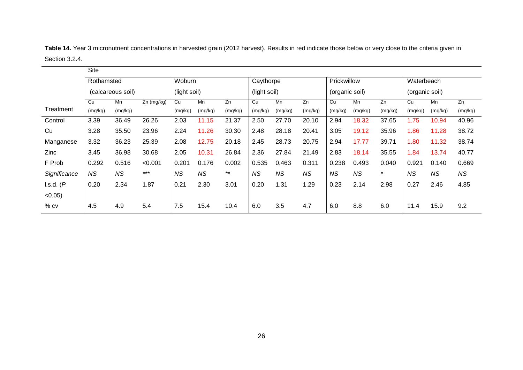|                | <b>Site</b> |                   |              |              |         |         |              |           |           |                |           |         |                |           |           |
|----------------|-------------|-------------------|--------------|--------------|---------|---------|--------------|-----------|-----------|----------------|-----------|---------|----------------|-----------|-----------|
|                | Rothamsted  |                   |              | Woburn       |         |         | Caythorpe    |           |           | Prickwillow    |           |         | Waterbeach     |           |           |
|                |             | (calcareous soil) |              | (light soil) |         |         | (light soil) |           |           | (organic soil) |           |         | (organic soil) |           |           |
|                | Cu          | Mn                | $Zn$ (mg/kg) | Cu           | Mn      | Zn      | Cu           | Mn        | Zn        | Cu             | Mn        | Zn      | Cu             | Mn        | Zn        |
| Treatment      | (mg/kg)     | (mg/kg)           |              | (mg/kg)      | (mg/kg) | (mg/kg) | (mg/kg)      | (mg/kg)   | (mg/kg)   | (mg/kg)        | (mg/kg)   | (mg/kg) | (mg/kg)        | (mg/kg)   | (mg/kg)   |
| Control        | 3.39        | 36.49             | 26.26        | 2.03         | 11.15   | 21.37   | 2.50         | 27.70     | 20.10     | 2.94           | 18.32     | 37.65   | 1.75           | 10.94     | 40.96     |
| Cu             | 3.28        | 35.50             | 23.96        | 2.24         | 11.26   | 30.30   | 2.48         | 28.18     | 20.41     | 3.05           | 19.12     | 35.96   | 1.86           | 11.28     | 38.72     |
| Manganese      | 3.32        | 36.23             | 25.39        | 2.08         | 12.75   | 20.18   | 2.45         | 28.73     | 20.75     | 2.94           | 17.77     | 39.71   | 1.80           | 11.32     | 38.74     |
| <b>Zinc</b>    | 3.45        | 36.98             | 30.68        | 2.05         | 10.31   | 26.84   | 2.36         | 27.84     | 21.49     | 2.83           | 18.14     | 35.55   | 1.84           | 13.74     | 40.77     |
| F Prob         | 0.292       | 0.516             | < 0.001      | 0.201        | 0.176   | 0.002   | 0.535        | 0.463     | 0.311     | 0.238          | 0.493     | 0.040   | 0.921          | 0.140     | 0.669     |
| Significance   | <b>NS</b>   | <b>NS</b>         | $***$        | <b>NS</b>    | NS      | $***$   | <b>NS</b>    | <b>NS</b> | <b>NS</b> | <b>NS</b>      | <b>NS</b> | $\star$ | <b>NS</b>      | <b>NS</b> | <b>NS</b> |
| $l.s.d.$ ( $P$ | 0.20        | 2.34              | 1.87         | 0.21         | 2.30    | 3.01    | 0.20         | 1.31      | 1.29      | 0.23           | 2.14      | 2.98    | 0.27           | 2.46      | 4.85      |
| $< 0.05$ )     |             |                   |              |              |         |         |              |           |           |                |           |         |                |           |           |
| $%$ CV         | 4.5         | 4.9               | 5.4          | 7.5          | 15.4    | 10.4    | 6.0          | 3.5       | 4.7       | 6.0            | 8.8       | 6.0     | 11.4           | 15.9      | 9.2       |

**Table 14.** Year 3 micronutrient concentrations in harvested grain (2012 harvest). Results in red indicate those below or very close to the criteria given in Section 3.2.4.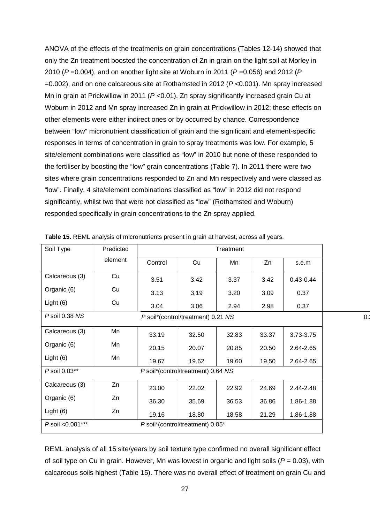ANOVA of the effects of the treatments on grain concentrations (Tables 12-14) showed that only the Zn treatment boosted the concentration of Zn in grain on the light soil at Morley in 2010 (*P* =0.004), and on another light site at Woburn in 2011 (*P* =0.056) and 2012 (*P* =0.002), and on one calcareous site at Rothamsted in 2012 (*P* <0.001). Mn spray increased Mn in grain at Prickwillow in 2011 (*P* <0.01). Zn spray significantly increased grain Cu at Woburn in 2012 and Mn spray increased Zn in grain at Prickwillow in 2012; these effects on other elements were either indirect ones or by occurred by chance. Correspondence between "low" micronutrient classification of grain and the significant and element-specific responses in terms of concentration in grain to spray treatments was low. For example, 5 site/element combinations were classified as "low" in 2010 but none of these responded to the fertiliser by boosting the "low" grain concentrations (Table 7). In 2011 there were two sites where grain concentrations responded to Zn and Mn respectively and were classed as "low". Finally, 4 site/element combinations classified as "low" in 2012 did not respond significantly, whilst two that were not classified as "low" (Rothamsted and Woburn) responded specifically in grain concentrations to the Zn spray applied.

| Soil Type        | Predicted |         |                                    | Treatment |       |               |     |
|------------------|-----------|---------|------------------------------------|-----------|-------|---------------|-----|
|                  | element   | Control | Cu                                 | Mn        | Zn    | s.e.m         |     |
| Calcareous (3)   | Cu        | 3.51    | 3.42                               | 3.37      | 3.42  | $0.43 - 0.44$ |     |
| Organic (6)      | Cu        | 3.13    | 3.19                               | 3.20      | 3.09  | 0.37          |     |
| Light $(6)$      | Cu        | 3.04    | 3.06                               | 2.94      | 2.98  | 0.37          |     |
| P soil 0.38 NS   |           |         | P soil*(control/treatment) 0.21 NS |           |       |               | 0.2 |
| Calcareous (3)   | Mn        | 33.19   | 32.50                              | 32.83     | 33.37 | 3.73-3.75     |     |
| Organic (6)      | Mn        | 20.15   | 20.07                              | 20.85     | 20.50 | 2.64-2.65     |     |
| Light $(6)$      | Mn        | 19.67   | 19.62                              | 19.60     | 19.50 | 2.64-2.65     |     |
| P soil 0.03**    |           |         | P soil*(control/treatment) 0.64 NS |           |       |               |     |
| Calcareous (3)   | Zn        | 23.00   | 22.02                              | 22.92     | 24.69 | 2.44-2.48     |     |
| Organic (6)      | Zn        | 36.30   | 35.69                              | 36.53     | 36.86 | 1.86-1.88     |     |
| Light $(6)$      | Zn        | 19.16   | 18.80                              | 18.58     | 21.29 | 1.86-1.88     |     |
| P soil <0.001*** |           |         | P soil*(control/treatment) 0.05*   |           |       |               |     |

**Table 15.** REML analysis of micronutrients present in grain at harvest, across all years.

REML analysis of all 15 site/years by soil texture type confirmed no overall significant effect of soil type on Cu in grain. However, Mn was lowest in organic and light soils (*P* = 0.03), with calcareous soils highest (Table 15). There was no overall effect of treatment on grain Cu and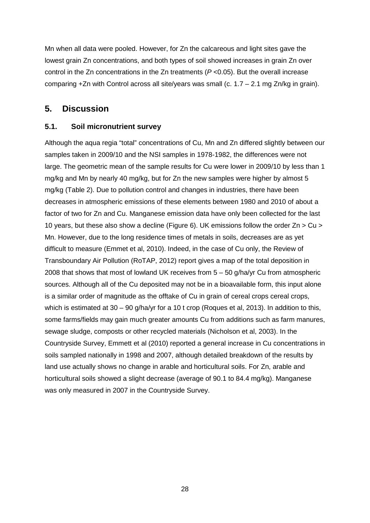Mn when all data were pooled. However, for Zn the calcareous and light sites gave the lowest grain Zn concentrations, and both types of soil showed increases in grain Zn over control in the Zn concentrations in the Zn treatments (*P* <0.05). But the overall increase comparing  $+Zn$  with Control across all site/years was small (c. 1.7 – 2.1 mg Zn/kg in grain).

## **5. Discussion**

#### **5.1. Soil micronutrient survey**

Although the aqua regia "total" concentrations of Cu, Mn and Zn differed slightly between our samples taken in 2009/10 and the NSI samples in 1978-1982, the differences were not large. The geometric mean of the sample results for Cu were lower in 2009/10 by less than 1 mg/kg and Mn by nearly 40 mg/kg, but for Zn the new samples were higher by almost 5 mg/kg (Table 2). Due to pollution control and changes in industries, there have been decreases in atmospheric emissions of these elements between 1980 and 2010 of about a factor of two for Zn and Cu. Manganese emission data have only been collected for the last 10 years, but these also show a decline (Figure 6). UK emissions follow the order Zn > Cu > Mn. However, due to the long residence times of metals in soils, decreases are as yet difficult to measure (Emmet et al, 2010). Indeed, in the case of Cu only, the Review of Transboundary Air Pollution (RoTAP, 2012) report gives a map of the total deposition in 2008 that shows that most of lowland UK receives from 5 – 50 g/ha/yr Cu from atmospheric sources. Although all of the Cu deposited may not be in a bioavailable form, this input alone is a similar order of magnitude as the offtake of Cu in grain of cereal crops cereal crops, which is estimated at 30 – 90 g/ha/yr for a 10 t crop (Roques et al, 2013). In addition to this, some farms/fields may gain much greater amounts Cu from additions such as farm manures, sewage sludge, composts or other recycled materials (Nicholson et al, 2003). In the Countryside Survey, Emmett et al (2010) reported a general increase in Cu concentrations in soils sampled nationally in 1998 and 2007, although detailed breakdown of the results by land use actually shows no change in arable and horticultural soils. For Zn, arable and horticultural soils showed a slight decrease (average of 90.1 to 84.4 mg/kg). Manganese was only measured in 2007 in the Countryside Survey.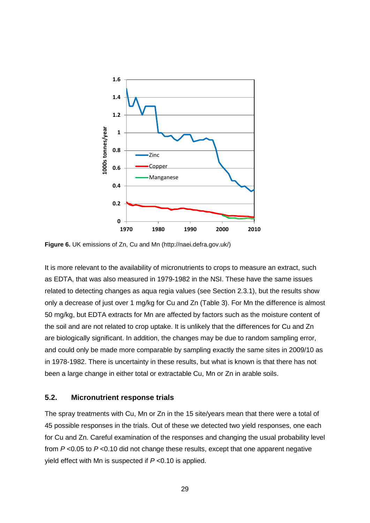

**Figure 6.** UK emissions of Zn, Cu and Mn (http://naei.defra.gov.uk/)

It is more relevant to the availability of micronutrients to crops to measure an extract, such as EDTA, that was also measured in 1979-1982 in the NSI. These have the same issues related to detecting changes as aqua regia values (see Section 2.3.1), but the results show only a decrease of just over 1 mg/kg for Cu and Zn (Table 3). For Mn the difference is almost 50 mg/kg, but EDTA extracts for Mn are affected by factors such as the moisture content of the soil and are not related to crop uptake. It is unlikely that the differences for Cu and Zn are biologically significant. In addition, the changes may be due to random sampling error, and could only be made more comparable by sampling exactly the same sites in 2009/10 as in 1978-1982. There is uncertainty in these results, but what is known is that there has not been a large change in either total or extractable Cu, Mn or Zn in arable soils.

### **5.2. Micronutrient response trials**

The spray treatments with Cu, Mn or Zn in the 15 site/years mean that there were a total of 45 possible responses in the trials. Out of these we detected two yield responses, one each for Cu and Zn. Careful examination of the responses and changing the usual probability level from *P* <0.05 to *P* <0.10 did not change these results, except that one apparent negative yield effect with Mn is suspected if *P* <0.10 is applied.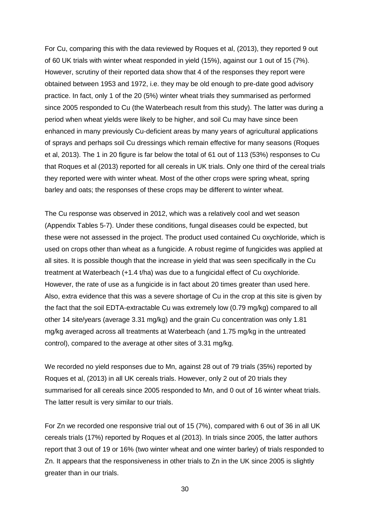For Cu, comparing this with the data reviewed by Roques et al, (2013), they reported 9 out of 60 UK trials with winter wheat responded in yield (15%), against our 1 out of 15 (7%). However, scrutiny of their reported data show that 4 of the responses they report were obtained between 1953 and 1972, i.e. they may be old enough to pre-date good advisory practice. In fact, only 1 of the 20 (5%) winter wheat trials they summarised as performed since 2005 responded to Cu (the Waterbeach result from this study). The latter was during a period when wheat yields were likely to be higher, and soil Cu may have since been enhanced in many previously Cu-deficient areas by many years of agricultural applications of sprays and perhaps soil Cu dressings which remain effective for many seasons (Roques et al, 2013). The 1 in 20 figure is far below the total of 61 out of 113 (53%) responses to Cu that Roques et al (2013) reported for all cereals in UK trials. Only one third of the cereal trials they reported were with winter wheat. Most of the other crops were spring wheat, spring barley and oats; the responses of these crops may be different to winter wheat.

The Cu response was observed in 2012, which was a relatively cool and wet season (Appendix Tables 5-7). Under these conditions, fungal diseases could be expected, but these were not assessed in the project. The product used contained Cu oxychloride, which is used on crops other than wheat as a fungicide. A robust regime of fungicides was applied at all sites. It is possible though that the increase in yield that was seen specifically in the Cu treatment at Waterbeach (+1.4 t/ha) was due to a fungicidal effect of Cu oxychloride. However, the rate of use as a fungicide is in fact about 20 times greater than used here. Also, extra evidence that this was a severe shortage of Cu in the crop at this site is given by the fact that the soil EDTA-extractable Cu was extremely low (0.79 mg/kg) compared to all other 14 site/years (average 3.31 mg/kg) and the grain Cu concentration was only 1.81 mg/kg averaged across all treatments at Waterbeach (and 1.75 mg/kg in the untreated control), compared to the average at other sites of 3.31 mg/kg.

We recorded no yield responses due to Mn, against 28 out of 79 trials (35%) reported by Roques et al, (2013) in all UK cereals trials. However, only 2 out of 20 trials they summarised for all cereals since 2005 responded to Mn, and 0 out of 16 winter wheat trials. The latter result is very similar to our trials.

For Zn we recorded one responsive trial out of 15 (7%), compared with 6 out of 36 in all UK cereals trials (17%) reported by Roques et al (2013). In trials since 2005, the latter authors report that 3 out of 19 or 16% (two winter wheat and one winter barley) of trials responded to Zn. It appears that the responsiveness in other trials to Zn in the UK since 2005 is slightly greater than in our trials.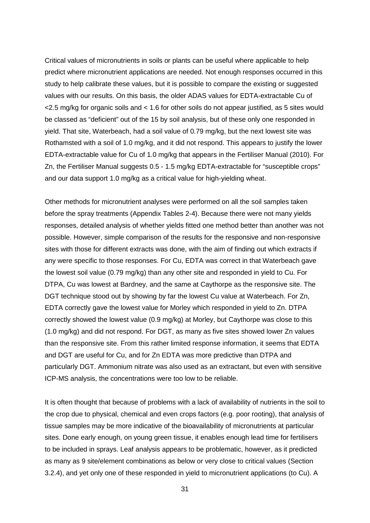Critical values of micronutrients in soils or plants can be useful where applicable to help predict where micronutrient applications are needed. Not enough responses occurred in this study to help calibrate these values, but it is possible to compare the existing or suggested values with our results. On this basis, the older ADAS values for EDTA-extractable Cu of <2.5 mg/kg for organic soils and < 1.6 for other soils do not appear justified, as 5 sites would be classed as "deficient" out of the 15 by soil analysis, but of these only one responded in yield. That site, Waterbeach, had a soil value of 0.79 mg/kg, but the next lowest site was Rothamsted with a soil of 1.0 mg/kg, and it did not respond. This appears to justify the lower EDTA-extractable value for Cu of 1.0 mg/kg that appears in the Fertiliser Manual (2010). For Zn, the Fertiliser Manual suggests 0.5 - 1.5 mg/kg EDTA-extractable for "susceptible crops" and our data support 1.0 mg/kg as a critical value for high-yielding wheat.

Other methods for micronutrient analyses were performed on all the soil samples taken before the spray treatments (Appendix Tables 2-4). Because there were not many yields responses, detailed analysis of whether yields fitted one method better than another was not possible. However, simple comparison of the results for the responsive and non-responsive sites with those for different extracts was done, with the aim of finding out which extracts if any were specific to those responses. For Cu, EDTA was correct in that Waterbeach gave the lowest soil value (0.79 mg/kg) than any other site and responded in yield to Cu. For DTPA, Cu was lowest at Bardney, and the same at Caythorpe as the responsive site. The DGT technique stood out by showing by far the lowest Cu value at Waterbeach. For Zn, EDTA correctly gave the lowest value for Morley which responded in yield to Zn. DTPA correctly showed the lowest value (0.9 mg/kg) at Morley, but Caythorpe was close to this (1.0 mg/kg) and did not respond. For DGT, as many as five sites showed lower Zn values than the responsive site. From this rather limited response information, it seems that EDTA and DGT are useful for Cu, and for Zn EDTA was more predictive than DTPA and particularly DGT. Ammonium nitrate was also used as an extractant, but even with sensitive ICP-MS analysis, the concentrations were too low to be reliable.

It is often thought that because of problems with a lack of availability of nutrients in the soil to the crop due to physical, chemical and even crops factors (e.g. poor rooting), that analysis of tissue samples may be more indicative of the bioavailability of micronutrients at particular sites. Done early enough, on young green tissue, it enables enough lead time for fertilisers to be included in sprays. Leaf analysis appears to be problematic, however, as it predicted as many as 9 site/element combinations as below or very close to critical values (Section 3.2.4), and yet only one of these responded in yield to micronutrient applications (to Cu). A

31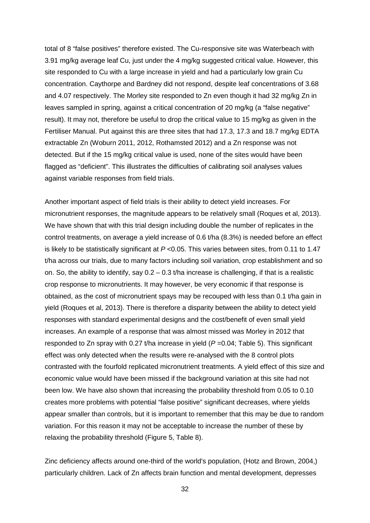total of 8 "false positives" therefore existed. The Cu-responsive site was Waterbeach with 3.91 mg/kg average leaf Cu, just under the 4 mg/kg suggested critical value. However, this site responded to Cu with a large increase in yield and had a particularly low grain Cu concentration. Caythorpe and Bardney did not respond, despite leaf concentrations of 3.68 and 4.07 respectively. The Morley site responded to Zn even though it had 32 mg/kg Zn in leaves sampled in spring, against a critical concentration of 20 mg/kg (a "false negative" result). It may not, therefore be useful to drop the critical value to 15 mg/kg as given in the Fertiliser Manual. Put against this are three sites that had 17.3, 17.3 and 18.7 mg/kg EDTA extractable Zn (Woburn 2011, 2012, Rothamsted 2012) and a Zn response was not detected. But if the 15 mg/kg critical value is used, none of the sites would have been flagged as "deficient". This illustrates the difficulties of calibrating soil analyses values against variable responses from field trials.

Another important aspect of field trials is their ability to detect yield increases. For micronutrient responses, the magnitude appears to be relatively small (Roques et al, 2013). We have shown that with this trial design including double the number of replicates in the control treatments, on average a yield increase of 0.6 t/ha (8.3%) is needed before an effect is likely to be statistically significant at *P* <0.05. This varies between sites, from 0.11 to 1.47 t/ha across our trials, due to many factors including soil variation, crop establishment and so on. So, the ability to identify, say  $0.2 - 0.3$  t/ha increase is challenging, if that is a realistic crop response to micronutrients. It may however, be very economic if that response is obtained, as the cost of micronutrient spays may be recouped with less than 0.1 t/ha gain in yield (Roques et al, 2013). There is therefore a disparity between the ability to detect yield responses with standard experimental designs and the cost/benefit of even small yield increases. An example of a response that was almost missed was Morley in 2012 that responded to Zn spray with 0.27 t/ha increase in yield (*P* =0.04; Table 5). This significant effect was only detected when the results were re-analysed with the 8 control plots contrasted with the fourfold replicated micronutrient treatments. A yield effect of this size and economic value would have been missed if the background variation at this site had not been low. We have also shown that increasing the probability threshold from 0.05 to 0.10 creates more problems with potential "false positive" significant decreases, where yields appear smaller than controls, but it is important to remember that this may be due to random variation. For this reason it may not be acceptable to increase the number of these by relaxing the probability threshold (Figure 5, Table 8).

Zinc deficiency affects around one-third of the world's population, (Hotz and Brown, 2004,) particularly children. Lack of Zn affects brain function and mental development, depresses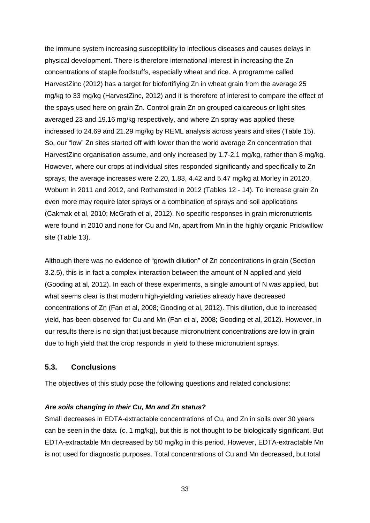the immune system increasing susceptibility to infectious diseases and causes delays in physical development. There is therefore international interest in increasing the Zn concentrations of staple foodstuffs, especially wheat and rice. A programme called HarvestZinc (2012) has a target for biofortifiying Zn in wheat grain from the average 25 mg/kg to 33 mg/kg (HarvestZinc, 2012) and it is therefore of interest to compare the effect of the spays used here on grain Zn. Control grain Zn on grouped calcareous or light sites averaged 23 and 19.16 mg/kg respectively, and where Zn spray was applied these increased to 24.69 and 21.29 mg/kg by REML analysis across years and sites (Table 15). So, our "low" Zn sites started off with lower than the world average Zn concentration that HarvestZinc organisation assume, and only increased by 1.7-2.1 mg/kg, rather than 8 mg/kg. However, where our crops at individual sites responded significantly and specifically to Zn sprays, the average increases were 2.20, 1.83, 4.42 and 5.47 mg/kg at Morley in 20120, Woburn in 2011 and 2012, and Rothamsted in 2012 (Tables 12 - 14). To increase grain Zn even more may require later sprays or a combination of sprays and soil applications (Cakmak et al, 2010; McGrath et al, 2012). No specific responses in grain micronutrients were found in 2010 and none for Cu and Mn, apart from Mn in the highly organic Prickwillow site (Table 13).

Although there was no evidence of "growth dilution" of Zn concentrations in grain (Section 3.2.5), this is in fact a complex interaction between the amount of N applied and yield (Gooding at al, 2012). In each of these experiments, a single amount of N was applied, but what seems clear is that modern high-yielding varieties already have decreased concentrations of Zn (Fan et al, 2008; Gooding et al, 2012). This dilution, due to increased yield, has been observed for Cu and Mn (Fan et al, 2008; Gooding et al, 2012). However, in our results there is no sign that just because micronutrient concentrations are low in grain due to high yield that the crop responds in yield to these micronutrient sprays.

#### **5.3. Conclusions**

The objectives of this study pose the following questions and related conclusions:

#### *Are soils changing in their Cu, Mn and Zn status?*

Small decreases in EDTA-extractable concentrations of Cu, and Zn in soils over 30 years can be seen in the data. (c. 1 mg/kg), but this is not thought to be biologically significant. But EDTA-extractable Mn decreased by 50 mg/kg in this period. However, EDTA-extractable Mn is not used for diagnostic purposes. Total concentrations of Cu and Mn decreased, but total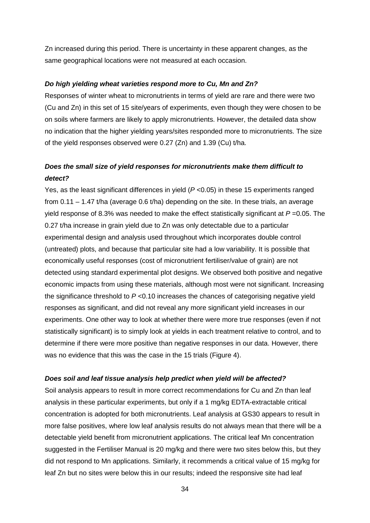Zn increased during this period. There is uncertainty in these apparent changes, as the same geographical locations were not measured at each occasion.

#### *Do high yielding wheat varieties respond more to Cu, Mn and Zn?*

Responses of winter wheat to micronutrients in terms of yield are rare and there were two (Cu and Zn) in this set of 15 site/years of experiments, even though they were chosen to be on soils where farmers are likely to apply micronutrients. However, the detailed data show no indication that the higher yielding years/sites responded more to micronutrients. The size of the yield responses observed were 0.27 (Zn) and 1.39 (Cu) t/ha.

## *Does the small size of yield responses for micronutrients make them difficult to detect?*

Yes, as the least significant differences in yield (*P* <0.05) in these 15 experiments ranged from 0.11 – 1.47 t/ha (average 0.6 t/ha) depending on the site. In these trials, an average yield response of 8.3% was needed to make the effect statistically significant at *P* =0.05. The 0.27 t/ha increase in grain yield due to Zn was only detectable due to a particular experimental design and analysis used throughout which incorporates double control (untreated) plots, and because that particular site had a low variability. It is possible that economically useful responses (cost of micronutrient fertiliser/value of grain) are not detected using standard experimental plot designs. We observed both positive and negative economic impacts from using these materials, although most were not significant. Increasing the significance threshold to *P* <0.10 increases the chances of categorising negative yield responses as significant, and did not reveal any more significant yield increases in our experiments. One other way to look at whether there were more true responses (even if not statistically significant) is to simply look at yields in each treatment relative to control, and to determine if there were more positive than negative responses in our data. However, there was no evidence that this was the case in the 15 trials (Figure 4).

#### *Does soil and leaf tissue analysis help predict when yield will be affected?*

Soil analysis appears to result in more correct recommendations for Cu and Zn than leaf analysis in these particular experiments, but only if a 1 mg/kg EDTA-extractable critical concentration is adopted for both micronutrients. Leaf analysis at GS30 appears to result in more false positives, where low leaf analysis results do not always mean that there will be a detectable yield benefit from micronutrient applications. The critical leaf Mn concentration suggested in the Fertiliser Manual is 20 mg/kg and there were two sites below this, but they did not respond to Mn applications. Similarly, it recommends a critical value of 15 mg/kg for leaf Zn but no sites were below this in our results; indeed the responsive site had leaf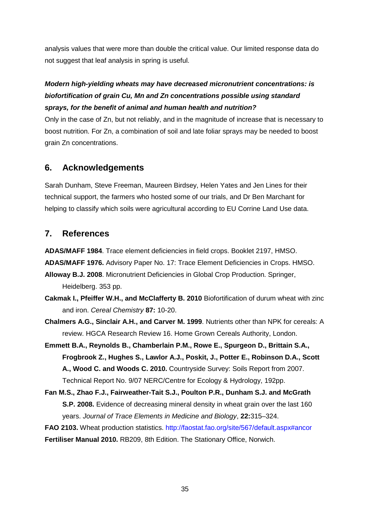analysis values that were more than double the critical value. Our limited response data do not suggest that leaf analysis in spring is useful.

# *Modern high-yielding wheats may have decreased micronutrient concentrations: is biofortification of grain Cu, Mn and Zn concentrations possible using standard sprays, for the benefit of animal and human health and nutrition?*

Only in the case of Zn, but not reliably, and in the magnitude of increase that is necessary to boost nutrition. For Zn, a combination of soil and late foliar sprays may be needed to boost grain Zn concentrations.

# **6. Acknowledgements**

Sarah Dunham, Steve Freeman, Maureen Birdsey, Helen Yates and Jen Lines for their technical support, the farmers who hosted some of our trials, and Dr Ben Marchant for helping to classify which soils were agricultural according to EU Corrine Land Use data.

# **7. References**

**ADAS/MAFF 1984**. Trace element deficiencies in field crops. Booklet 2197, HMSO.

**ADAS/MAFF 1976.** Advisory Paper No. 17: Trace Element Deficiencies in Crops. HMSO.

**Alloway B.J. 2008**. Micronutrient Deficiencies in Global Crop Production. Springer, Heidelberg. 353 pp.

- **Cakmak I., Pfeiffer W.H., and McClafferty B. 2010** Biofortification of durum wheat with zinc and iron. *Cereal Chemistry* **87:** 10-20.
- **Chalmers A.G., Sinclair A.H., and Carver M. 1999**. Nutrients other than NPK for cereals: A review. HGCA Research Review 16. Home Grown Cereals Authority, London.
- **Emmett B.A., Reynolds B., Chamberlain P.M., Rowe E., Spurgeon D., Brittain S.A., Frogbrook Z., Hughes S., Lawlor A.J., Poskit, J., Potter E., Robinson D.A., Scott A., Wood C. and Woods C. 2010.** Countryside Survey: Soils Report from 2007. Technical Report No. 9/07 NERC/Centre for Ecology & Hydrology, 192pp.
- **Fan M.S., Zhao F.J., Fairweather-Tait S.J., Poulton P.R., Dunham S.J. and McGrath S.P. 2008.** Evidence of decreasing mineral density in wheat grain over the last 160 years. *Journal of Trace Elements in Medicine and Biology*, **22:**315–324.

**FAO 2103.** Wheat production statistics.<http://faostat.fao.org/site/567/default.aspx#ancor> **Fertiliser Manual 2010.** RB209, 8th Edition. The Stationary Office, Norwich.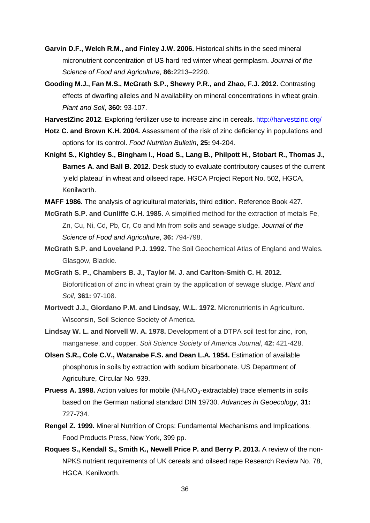- **Garvin D.F., Welch R.M., and Finley J.W. 2006.** Historical shifts in the seed mineral micronutrient concentration of US hard red winter wheat germplasm. *Journal of the Science of Food and Agriculture*, **86:**2213–2220.
- **Gooding M.J., Fan M.S., McGrath S.P., Shewry P.R., and Zhao, F.J. 2012.** Contrasting effects of dwarfing alleles and N availability on mineral concentrations in wheat grain. *Plant and Soil*, **360:** 93-107.
- **HarvestZinc 2012**. Exploring fertilizer use to increase zinc in cereals.<http://harvestzinc.org/>
- **Hotz C. and Brown K.H. 2004.** Assessment of the risk of zinc deficiency in populations and options for its control. *Food Nutrition Bulletin*, **25:** 94-204.
- **Knight S., Kightley S., Bingham I., Hoad S., Lang B., Philpott H., Stobart R., Thomas J., Barnes A. and Ball B. 2012.** Desk study to evaluate contributory causes of the current 'yield plateau' in wheat and oilseed rape. HGCA Project Report No. 502, HGCA, Kenilworth.
- **MAFF 1986.** The analysis of agricultural materials, third edition. Reference Book 427.
- **McGrath S.P. and Cunliffe C.H. 1985.** A simplified method for the extraction of metals Fe, Zn, Cu, Ni, Cd, Pb, Cr, Co and Mn from soils and sewage sludge. *Journal of the Science of Food and Agriculture*, **36:** 794-798.
- **McGrath S.P. and Loveland P.J. 1992.** The Soil Geochemical Atlas of England and Wales. Glasgow, Blackie.
- **McGrath S. P., Chambers B. J., Taylor M. J. and Carlton-Smith C. H. 2012.** Biofortification of zinc in wheat grain by the application of sewage sludge. *Plant and Soil*, **361:** 97-108.
- **Mortvedt J.J., Giordano P.M. and Lindsay, W.L. 1972.** Micronutrients in Agriculture. Wisconsin, Soil Science Society of America.
- **Lindsay W. L. and Norvell W. A. 1978.** Development of a DTPA soil test for zinc, iron, manganese, and copper. *Soil Science Society of America Journal*, **42:** 421-428.
- **Olsen S.R., Cole C.V., Watanabe F.S. and Dean L.A. 1954.** Estimation of available phosphorus in soils by extraction with sodium bicarbonate. US Department of Agriculture, Circular No. 939.
- **Pruess A. 1998.** Action values for mobile  $(NH_4NO_3$ -extractable) trace elements in soils [based on the German national standard DIN 19730.](http://apps.isiknowledge.com/full_record.do?product=UA&search_mode=Refine&qid=2&SID=S14mGH4Ibmp24oA@NE8&page=1&doc=1&colname=CABI) *Advances in Geoecology*, **31:** 727-734.
- **Rengel Z. 1999.** Mineral Nutrition of Crops: Fundamental Mechanisms and Implications. Food Products Press, New York, 399 pp.
- **Roques S., Kendall S., Smith K., Newell Price P. and Berry P. 2013.** A review of the non-NPKS nutrient requirements of UK cereals and oilseed rape Research Review No. 78, HGCA, Kenilworth.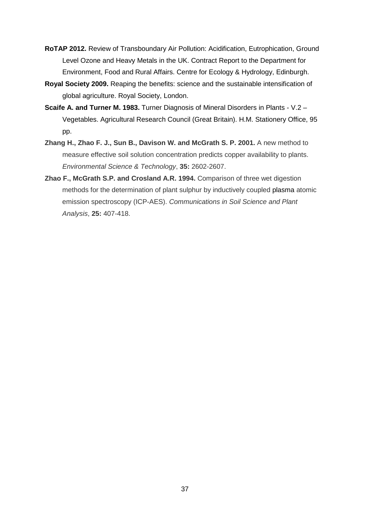- **RoTAP 2012.** Review of Transboundary Air Pollution: Acidification, Eutrophication, Ground Level Ozone and Heavy Metals in the UK. Contract Report to the Department for Environment, Food and Rural Affairs. Centre for Ecology & Hydrology, Edinburgh.
- **Royal Society 2009.** Reaping the benefits: science and the sustainable intensification of global agriculture. Royal Society, London.
- **Scaife A. and Turner M. 1983.** Turner Diagnosis of Mineral Disorders in Plants V.2 Vegetables. Agricultural Research Council (Great Britain). H.M. Stationery Office, 95 pp.
- **Zhang H., Zhao F. J., Sun B., Davison W. and McGrath S. P. 2001.** A new method to measure effective soil solution concentration predicts copper availability to plants. *Environmental Science & Technology*, **35:** 2602-2607.
- **Zhao F., McGrath S.P. and Crosland A.R. 1994.** Comparison of three wet digestion methods for the determination of plant sulphur by inductively coupled plasma atomic emission spectroscopy (ICP-AES). *Communications in Soil Science and Plant Analysis*, **25:** 407-418.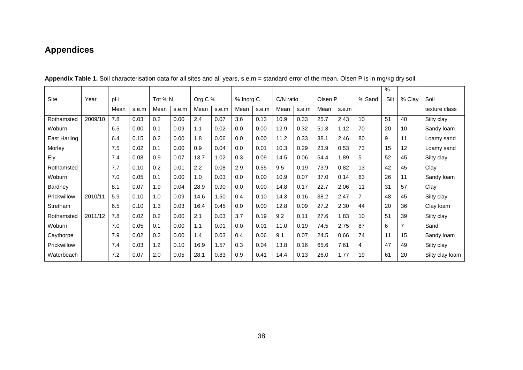# **Appendices**

|              |         |      |       |         |       |         |       |           |       |           |       |         |       |                | $\%$ |                |                 |
|--------------|---------|------|-------|---------|-------|---------|-------|-----------|-------|-----------|-------|---------|-------|----------------|------|----------------|-----------------|
| Site         | Year    | pH   |       | Tot % N |       | Org C % |       | % Inorg C |       | C/N ratio |       | Olsen P |       | % Sand         | Silt | % Clay         | Soil            |
|              |         | Mean | s.e.m | Mean    | s.e.m | Mean    | s.e.m | Mean      | s.e.m | Mean      | s.e.m | Mean    | s.e.m |                |      |                | texture class   |
| Rothamsted   | 2009/10 | 7.8  | 0.03  | 0.2     | 0.00  | 2.4     | 0.07  | 3.6       | 0.13  | 10.9      | 0.33  | 25.7    | 2.43  | 10             | 51   | 40             | Silty clay      |
| Woburn       |         | 6.5  | 0.00  | 0.1     | 0.09  | 1.1     | 0.02  | 0.0       | 0.00  | 12.9      | 0.32  | 51.3    | 1.12  | 70             | 20   | 10             | Sandy loam      |
| East Harling |         | 6.4  | 0.15  | 0.2     | 0.00  | 1.8     | 0.06  | 0.0       | 0.00  | 11.2      | 0.33  | 38.1    | 2.46  | 80             | 9    | 11             | Loamy sand      |
| Morley       |         | 7.5  | 0.02  | 0.1     | 0.00  | 0.9     | 0.04  | 0.0       | 0.01  | 10.3      | 0.29  | 23.9    | 0.53  | 73             | 15   | 12             | Loamy sand      |
| Ely          |         | 7.4  | 0.08  | 0.9     | 0.07  | 13.7    | 1.02  | 0.3       | 0.09  | 14.5      | 0.06  | 54.4    | 1.89  | 5              | 52   | 45             | Silty clay      |
| Rothamsted   |         | 7.7  | 0.10  | 0.2     | 0.01  | 2.2     | 0.08  | 2.9       | 0.55  | 9.5       | 0.19  | 73.9    | 0.82  | 13             | 42   | 45             | Clay            |
| Woburn       |         | 7.0  | 0.05  | 0.1     | 0.00  | 1.0     | 0.03  | 0.0       | 0.00  | 10.9      | 0.07  | 37.0    | 0.14  | 63             | 26   | 11             | Sandy loam      |
| Bardney      |         | 8.1  | 0.07  | 1.9     | 0.04  | 28.9    | 0.90  | 0.0       | 0.00  | 14.8      | 0.17  | 22.7    | 2.06  | 11             | 31   | 57             | Clay            |
| Prickwillow  | 2010/11 | 5.9  | 0.10  | 1.0     | 0.09  | 14.6    | 1.50  | 0.4       | 0.10  | 14.3      | 0.16  | 38.2    | 2.47  | $\overline{7}$ | 48   | 45             | Silty clay      |
| Stretham     |         | 6.5  | 0.10  | 1.3     | 0.03  | 16.4    | 0.45  | 0.0       | 0.00  | 12.8      | 0.09  | 27.2    | 2.30  | 44             | 20   | 36             | Clay loam       |
| Rothamsted   | 2011/12 | 7.8  | 0.02  | 0.2     | 0.00  | 2.1     | 0.03  | 3.7       | 0.19  | 9.2       | 0.11  | 27.6    | 1.83  | 10             | 51   | 39             | Silty clay      |
| Woburn       |         | 7.0  | 0.05  | 0.1     | 0.00  | 1.1     | 0.01  | 0.0       | 0.01  | 11.0      | 0.19  | 74.5    | 2.75  | 87             | 6    | $\overline{7}$ | Sand            |
| Caythorpe    |         | 7.9  | 0.02  | 0.2     | 0.00  | 1.4     | 0.03  | 0.4       | 0.06  | 9.1       | 0.07  | 24.5    | 0.66  | 74             | 11   | 15             | Sandy loam      |
| Prickwillow  |         | 7.4  | 0.03  | 1.2     | 0.10  | 16.9    | 1.57  | 0.3       | 0.04  | 13.8      | 0.16  | 65.6    | 7.61  | 4              | 47   | 49             | Silty clay      |
| Waterbeach   |         | 7.2  | 0.07  | 2.0     | 0.05  | 28.1    | 0.83  | 0.9       | 0.41  | 14.4      | 0.13  | 26.0    | 1.77  | 19             | 61   | 20             | Silty clay loam |

**Appendix Table 1.** Soil characterisation data for all sites and all years, s.e.m = standard error of the mean. Olsen P is in mg/kg dry soil.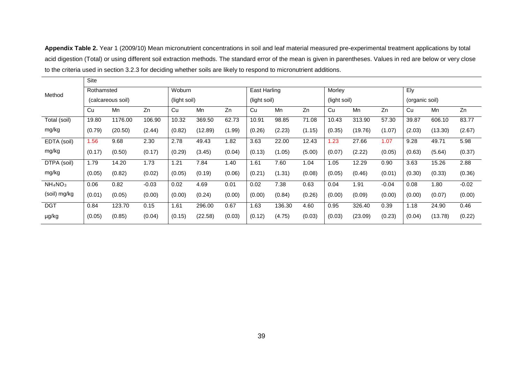**Appendix Table 2.** Year 1 (2009/10) Mean micronutrient concentrations in soil and leaf material measured pre-experimental treatment applications by total acid digestion (Total) or using different soil extraction methods. The standard error of the mean is given in parentheses. Values in red are below or very close to the criteria used in section 3.2.3 for deciding whether soils are likely to respond to micronutrient additions.

|                                 | Site       |                   |         |              |         |        |              |        |        |              |         |         |                |         |         |
|---------------------------------|------------|-------------------|---------|--------------|---------|--------|--------------|--------|--------|--------------|---------|---------|----------------|---------|---------|
| Method                          | Rothamsted |                   |         | Woburn       |         |        | East Harling |        |        | Morley       |         |         | Ely            |         |         |
|                                 |            | (calcareous soil) |         | (light soil) |         |        | (light soil) |        |        | (light soil) |         |         | (organic soil) |         |         |
|                                 | Cu         | Mn                | Zn      | Cu           | Mn      | Zn     | Cu           | Mn     | Zn     | Cu           | Mn      | Zn      | Cu             | Mn      | Zn      |
| Total (soil)                    | 19.80      | 1176.00           | 106.90  | 10.32        | 369.50  | 62.73  | 10.91        | 98.85  | 71.08  | 10.43        | 313.90  | 57.30   | 39.87          | 606.10  | 83.77   |
| mg/kg                           | (0.79)     | (20.50)           | (2.44)  | (0.82)       | (12.89) | (1.99) | (0.26)       | (2.23) | (1.15) | (0.35)       | (19.76) | (1.07)  | (2.03)         | (13.30) | (2.67)  |
| EDTA (soil)                     | 1.56       | 9.68              | 2.30    | 2.78         | 49.43   | 1.82   | 3.63         | 22.00  | 12.43  | 1.23         | 27.66   | 1.07    | 9.28           | 49.71   | 5.98    |
| mg/kg                           | (0.17)     | (0.50)            | (0.17)  | (0.29)       | (3.45)  | (0.04) | (0.13)       | (1.05) | (5.00) | (0.07)       | (2.22)  | (0.05)  | (0.63)         | (5.64)  | (0.37)  |
| DTPA (soil)                     | 1.79       | 14.20             | 1.73    | 1.21         | 7.84    | 1.40   | 1.61         | 7.60   | 1.04   | 1.05         | 12.29   | 0.90    | 3.63           | 15.26   | 2.88    |
| mg/kg                           | (0.05)     | (0.82)            | (0.02)  | (0.05)       | (0.19)  | (0.06) | (0.21)       | (1.31) | (0.08) | (0.05)       | (0.46)  | (0.01)  | (0.30)         | (0.33)  | (0.36)  |
| NH <sub>4</sub> NO <sub>3</sub> | 0.06       | 0.82              | $-0.03$ | 0.02         | 4.69    | 0.01   | 0.02         | 7.38   | 0.63   | 0.04         | 1.91    | $-0.04$ | 0.08           | 1.80    | $-0.02$ |
| (soil) mg/kg                    | (0.01)     | (0.05)            | (0.00)  | (0.00)       | (0.24)  | (0.00) | (0.00)       | (0.84) | (0.26) | (0.00)       | (0.09)  | (0.00)  | (0.00)         | (0.07)  | (0.00)  |
| <b>DGT</b>                      | 0.84       | 123.70            | 0.15    | 1.61         | 296.00  | 0.67   | 1.63         | 136.30 | 4.60   | 0.95         | 326.40  | 0.39    | 1.18           | 24.90   | 0.46    |
| µg/kg                           | (0.05)     | (0.85)            | (0.04)  | (0.15)       | (22.58) | (0.03) | (0.12)       | (4.75) | (0.03) | (0.03)       | (23.09) | (0.23)  | (0.04)         | (13.78) | (0.22)  |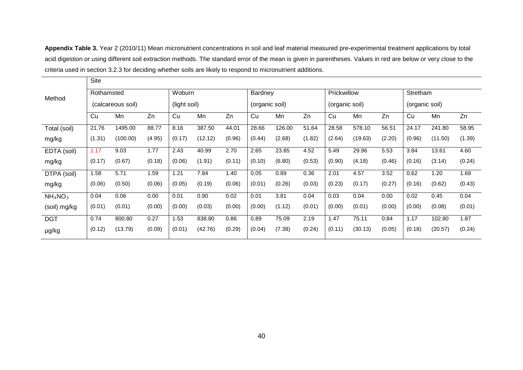**Appendix Table 3.** Year 2 (2010/11) Mean micronutrient concentrations in soil and leaf material measured pre-experimental treatment applications by total acid digestion or using different soil extraction methods. The standard error of the mean is given in parentheses. Values in red are below or very close to the criteria used in section 3.2.3 for deciding whether soils are likely to respond to micronutrient additions.

|                                 | Site       |                   |        |              |         |        |                |        |        |                |         |        |                |         |        |
|---------------------------------|------------|-------------------|--------|--------------|---------|--------|----------------|--------|--------|----------------|---------|--------|----------------|---------|--------|
| Method                          | Rothamsted |                   |        | Woburn       |         |        | Bardney        |        |        | Prickwillow    |         |        | Stretham       |         |        |
|                                 |            | (calcareous soil) |        | (light soil) |         |        | (organic soil) |        |        | (organic soil) |         |        | (organic soil) |         |        |
|                                 | Cu         | Mn                | Zn     | Cu           | Mn      | Zn     | Cu             | Mn     | Zn     | Cu             | Mn      | Zn     | Cu             | Mn      | Zn     |
| Total (soil)                    | 21.76      | 1495.00           | 88.77  | 8.16         | 387.50  | 44.01  | 28.66          | 126.00 | 51.64  | 28.58          | 578.10  | 56.51  | 24.17          | 241.80  | 58.95  |
| mg/kg                           | (1.31)     | (100.00)          | (4.95) | (0.17)       | (12.12) | (0.96) | (0.44)         | (2.68) | (1.82) | (2.64)         | (19.63) | (2.20) | (0.96)         | (11.50) | (1.39) |
| EDTA (soil)                     | 1.17       | 9.03              | 1.77   | 2.43         | 40.99   | 2.70   | 2.65           | 23.85  | 4.52   | 5.49           | 29.96   | 5.53   | 3.84           | 13.61   | 4.60   |
| mg/kg                           | (0.17)     | (0.67)            | (0.18) | (0.06)       | (1.91)  | (0.11) | (0.10)         | (6.80) | (0.53) | (0.90)         | (4.18)  | (0.46) | (0.16)         | (3.14)  | (0.24) |
| DTPA (soil)                     | 1.58       | 5.71              | 1.59   | 1.21         | 7.84    | 1.40   | 0.05           | 0.89   | 0.36   | 2.01           | 4.57    | 3.52   | 0.62           | 1.20    | 1.68   |
| mg/kg                           | (0.06)     | (0.50)            | (0.06) | (0.05)       | (0.19)  | (0.06) | (0.01)         | (0.26) | (0.03) | (0.23)         | (0.17)  | (0.27) | (0.16)         | (0.62)  | (0.43) |
| NH <sub>4</sub> NO <sub>3</sub> | 0.04       | 0.06              | 0.00   | 0.01         | 0.90    | 0.02   | 0.01           | 3.81   | 0.04   | 0.03           | 0.04    | 0.00   | 0.02           | 0.45    | 0.04   |
| (soil) mg/kg                    | (0.01)     | (0.01)            | (0.00) | (0.00)       | (0.03)  | (0.00) | (0.00)         | (1.12) | (0.01) | (0.00)         | (0.01)  | (0.00) | (0.00)         | (0.08)  | (0.01) |
| <b>DGT</b>                      | 0.74       | 800.80            | 0.27   | 1.53         | 838.80  | 0.86   | 0.89           | 75.09  | 2.19   | 1.47           | 75.11   | 0.84   | 1.17           | 102.80  | 1.87   |
| µg/kg                           | (0.12)     | (13.79)           | (0.09) | (0.01)       | (42.76) | (0.29) | (0.04)         | (7.38) | (0.24) | (0.11)         | (30.13) | (0.05) | (0.18)         | (20.57) | (0.24) |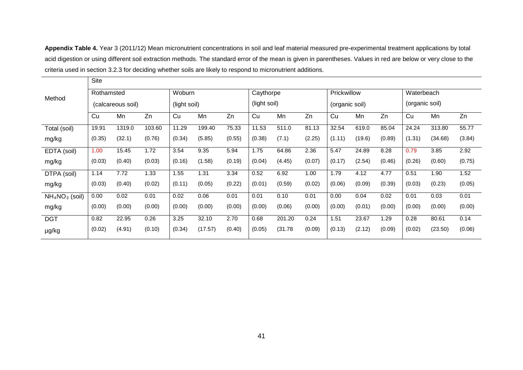**Appendix Table 4.** Year 3 (2011/12) Mean micronutrient concentrations in soil and leaf material measured pre-experimental treatment applications by total acid digestion or using different soil extraction methods. The standard error of the mean is given in parentheses. Values in red are below or very close to the criteria used in section 3.2.3 for deciding whether soils are likely to respond to micronutrient additions.

|                 | Site       |                   |        |              |         |        |              |         |        |                |        |        |                |         |        |
|-----------------|------------|-------------------|--------|--------------|---------|--------|--------------|---------|--------|----------------|--------|--------|----------------|---------|--------|
| Method          | Rothamsted |                   |        | Woburn       |         |        | Caythorpe    |         |        | Prickwillow    |        |        | Waterbeach     |         |        |
|                 |            | (calcareous soil) |        | (light soil) |         |        | (light soil) |         |        | (organic soil) |        |        | (organic soil) |         |        |
|                 | Cu         | Mn                | Zn     | Cu           | Mn      | Zn     | Cu           | Mn      | Zn     | Cu             | Mn     | Zn     | Cu             | Mn      | Zn     |
| Total (soil)    | 19.91      | 1319.0            | 103.60 | 11.29        | 199.40  | 75.33  | 11.53        | 511.0   | 81.13  | 32.54          | 619.0  | 85.04  | 24.24          | 313.80  | 55.77  |
| mg/kg           | (0.35)     | (32.1)            | (0.76) | (0.34)       | (5.85)  | (0.55) | (0.38)       | (7.1)   | (2.25) | (1.11)         | (19.6) | (0.89) | (1.31)         | (34.68) | (3.84) |
| EDTA (soil)     | 1.00       | 15.45             | 1.72   | 3.54         | 9.35    | 5.94   | 1.75         | 64.86   | 2.36   | 5.47           | 24.89  | 8.28   | 0.79           | 3.85    | 2.92   |
| mg/kg           | (0.03)     | (0.40)            | (0.03) | (0.16)       | (1.58)  | (0.19) | (0.04)       | (4.45)  | (0.07) | (0.17)         | (2.54) | (0.46) | (0.26)         | (0.60)  | (0.75) |
| DTPA (soil)     | 1.14       | 7.72              | 1.33   | 1.55         | 1.31    | 3.34   | 0.52         | 6.92    | 1.00   | 1.79           | 4.12   | 4.77   | 0.51           | 1.90    | 1.52   |
| mg/kg           | (0.03)     | (0.40)            | (0.02) | (0.11)       | (0.05)  | (0.22) | (0.01)       | (0.59)  | (0.02) | (0.06)         | (0.09) | (0.39) | (0.03)         | (0.23)  | (0.05) |
| $NH4NO3$ (soil) | 0.00       | 0.02              | 0.01   | 0.02         | 0.06    | 0.01   | 0.01         | 0.10    | 0.01   | 0.00           | 0.04   | 0.02   | 0.01           | 0.03    | 0.01   |
| mg/kg           | (0.00)     | (0.00)            | (0.00) | (0.00)       | (0.00)  | (0.00) | (0.00)       | (0.06)  | (0.00) | (0.00)         | (0.01) | (0.00) | (0.00)         | (0.00)  | (0.00) |
| <b>DGT</b>      | 0.82       | 22.95             | 0.26   | 3.25         | 32.10   | 2.70   | 0.68         | 201.20  | 0.24   | 1.51           | 23.67  | 1.29   | 0.28           | 80.61   | 0.14   |
| µg/kg           | (0.02)     | (4.91)            | (0.10) | (0.34)       | (17.57) | (0.40) | (0.05)       | (31.78) | (0.09) | (0.13)         | (2.12) | (0.09) | (0.02)         | (23.50) | (0.06) |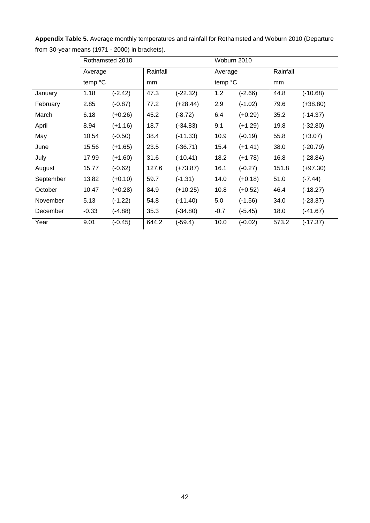|           |         | Rothamsted 2010 |          |            | Woburn 2010 |           |          |            |
|-----------|---------|-----------------|----------|------------|-------------|-----------|----------|------------|
|           | Average |                 | Rainfall |            | Average     |           | Rainfall |            |
|           | temp °C |                 | mm       |            | temp °C     |           | mm       |            |
| January   | 1.18    | $(-2.42)$       | 47.3     | $(-22.32)$ | 1.2         | $(-2.66)$ | 44.8     | $(-10.68)$ |
| February  | 2.85    | $(-0.87)$       | 77.2     | $(+28.44)$ | 2.9         | $(-1.02)$ | 79.6     | $(+38.80)$ |
| March     | 6.18    | $(+0.26)$       | 45.2     | $(-8.72)$  | 6.4         | $(+0.29)$ | 35.2     | $(-14.37)$ |
| April     | 8.94    | $(+1.16)$       | 18.7     | $(-34.83)$ | 9.1         | $(+1.29)$ | 19.8     | $(-32.80)$ |
| May       | 10.54   | $(-0.50)$       | 38.4     | $(-11.33)$ | 10.9        | $(-0.19)$ | 55.8     | $(+3.07)$  |
| June      | 15.56   | $(+1.65)$       | 23.5     | $(-36.71)$ | 15.4        | $(+1.41)$ | 38.0     | $(-20.79)$ |
| July      | 17.99   | $(+1.60)$       | 31.6     | $(-10.41)$ | 18.2        | $(+1.78)$ | 16.8     | $(-28.84)$ |
| August    | 15.77   | $(-0.62)$       | 127.6    | $(+73.87)$ | 16.1        | $(-0.27)$ | 151.8    | $(+97.30)$ |
| September | 13.82   | $(+0.10)$       | 59.7     | $(-1.31)$  | 14.0        | $(+0.18)$ | 51.0     | $(-7.44)$  |
| October   | 10.47   | $(+0.28)$       | 84.9     | $(+10.25)$ | 10.8        | $(+0.52)$ | 46.4     | $(-18.27)$ |
| November  | 5.13    | $(-1.22)$       | 54.8     | $(-11.40)$ | 5.0         | $(-1.56)$ | 34.0     | $(-23.37)$ |
| December  | $-0.33$ | $(-4.88)$       | 35.3     | $(-34.80)$ | $-0.7$      | $(-5.45)$ | 18.0     | $(-41.67)$ |
| Year      | 9.01    | $(-0.45)$       | 644.2    | $(-59.4)$  | 10.0        | $(-0.02)$ | 573.2    | $(-17.37)$ |

**Appendix Table 5.** Average monthly temperatures and rainfall for Rothamsted and Woburn 2010 (Departure from 30-year means (1971 - 2000) in brackets).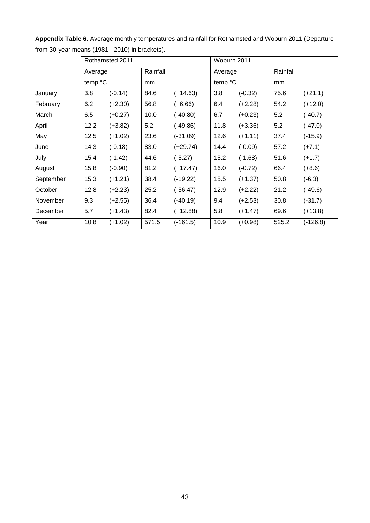|           |         | Rothamsted 2011 |          |            | Woburn 2011 |           |          |            |
|-----------|---------|-----------------|----------|------------|-------------|-----------|----------|------------|
|           | Average |                 | Rainfall |            | Average     |           | Rainfall |            |
|           | temp °C |                 | mm       |            | temp °C     |           | mm       |            |
| January   | 3.8     | $(-0.14)$       | 84.6     | $(+14.63)$ | 3.8         | $(-0.32)$ | 75.6     | $(+21.1)$  |
| February  | 6.2     | $(+2.30)$       | 56.8     | $(+6.66)$  | 6.4         | $(+2.28)$ | 54.2     | $(+12.0)$  |
| March     | 6.5     | $(+0.27)$       | 10.0     | $(-40.80)$ | 6.7         | $(+0.23)$ | 5.2      | $(-40.7)$  |
| April     | 12.2    | $(+3.82)$       | 5.2      | $(-49.86)$ | 11.8        | $(+3.36)$ | 5.2      | $(-47.0)$  |
| May       | 12.5    | $(+1.02)$       | 23.6     | $(-31.09)$ | 12.6        | $(+1.11)$ | 37.4     | $(-15.9)$  |
| June      | 14.3    | $(-0.18)$       | 83.0     | $(+29.74)$ | 14.4        | $(-0.09)$ | 57.2     | $(+7.1)$   |
| July      | 15.4    | $(-1.42)$       | 44.6     | $(-5.27)$  | 15.2        | $(-1.68)$ | 51.6     | $(+1.7)$   |
| August    | 15.8    | $(-0.90)$       | 81.2     | $(+17.47)$ | 16.0        | $(-0.72)$ | 66.4     | $(+8.6)$   |
| September | 15.3    | $(+1.21)$       | 38.4     | $(-19.22)$ | 15.5        | $(+1.37)$ | 50.8     | $(-6.3)$   |
| October   | 12.8    | $(+2.23)$       | 25.2     | $(-56.47)$ | 12.9        | $(+2.22)$ | 21.2     | $(-49.6)$  |
| November  | 9.3     | $(+2.55)$       | 36.4     | $(-40.19)$ | 9.4         | $(+2.53)$ | 30.8     | $(-31.7)$  |
| December  | 5.7     | $(+1.43)$       | 82.4     | $(+12.88)$ | 5.8         | $(+1.47)$ | 69.6     | $(+13.8)$  |
| Year      | 10.8    | $(+1.02)$       | 571.5    | $(-161.5)$ | 10.9        | $(+0.98)$ | 525.2    | $(-126.8)$ |

**Appendix Table 6.** Average monthly temperatures and rainfall for Rothamsted and Woburn 2011 (Departure from 30-year means (1981 - 2010) in brackets).